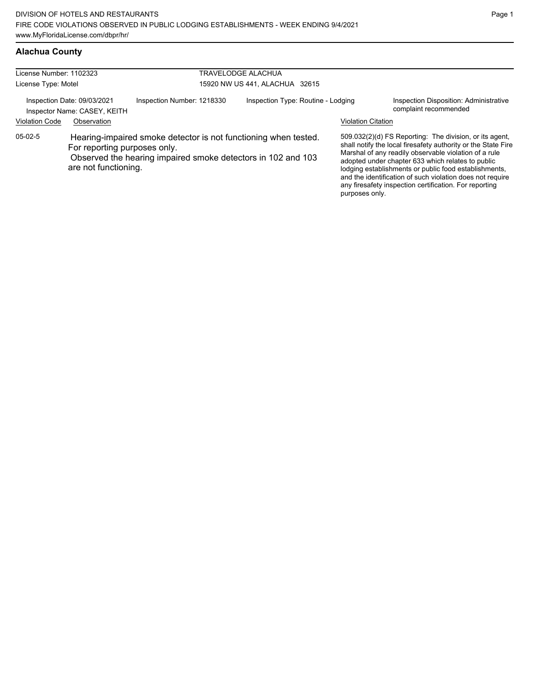### **Alachua County**

| License Number: 1102323 |                                                                                                                         |                                                              | TRAVELODGE ALACHUA             |                                    |  |                           |                                                                                                                                                                                                                                                                                                                                                                                                                        |
|-------------------------|-------------------------------------------------------------------------------------------------------------------------|--------------------------------------------------------------|--------------------------------|------------------------------------|--|---------------------------|------------------------------------------------------------------------------------------------------------------------------------------------------------------------------------------------------------------------------------------------------------------------------------------------------------------------------------------------------------------------------------------------------------------------|
| License Type: Motel     |                                                                                                                         |                                                              | 15920 NW US 441, ALACHUA 32615 |                                    |  |                           |                                                                                                                                                                                                                                                                                                                                                                                                                        |
|                         | Inspection Date: 09/03/2021<br>Inspector Name: CASEY, KEITH                                                             | Inspection Number: 1218330                                   |                                | Inspection Type: Routine - Lodging |  |                           | Inspection Disposition: Administrative<br>complaint recommended                                                                                                                                                                                                                                                                                                                                                        |
| <b>Violation Code</b>   | Observation                                                                                                             |                                                              |                                |                                    |  | <b>Violation Citation</b> |                                                                                                                                                                                                                                                                                                                                                                                                                        |
| $05-02-5$               | Hearing-impaired smoke detector is not functioning when tested.<br>For reporting purposes only.<br>are not functioning. | Observed the hearing impaired smoke detectors in 102 and 103 |                                |                                    |  | purposes only.            | 509.032(2)(d) FS Reporting: The division, or its agent,<br>shall notify the local firesafety authority or the State Fire<br>Marshal of any readily observable violation of a rule<br>adopted under chapter 633 which relates to public<br>lodging establishments or public food establishments,<br>and the identification of such violation does not require<br>any firesafety inspection certification. For reporting |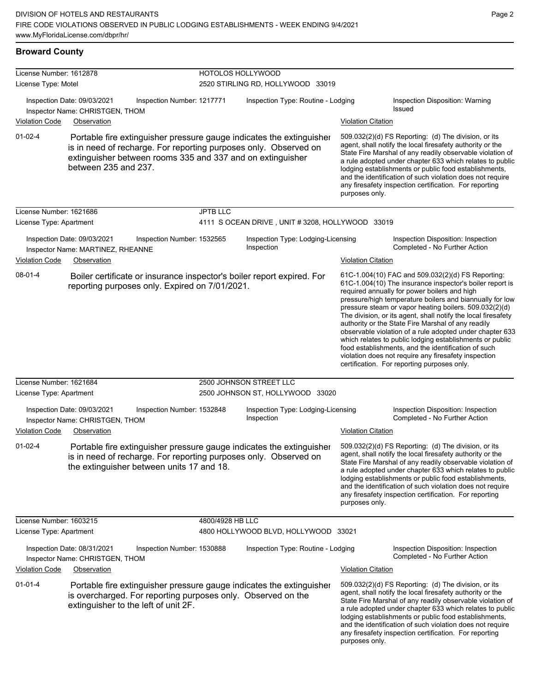**Broward County**

| License Number: 1612878<br>License Type: Motel |                                                                                                                                                                                                                                | HOTOLOS HOLLYWOOD<br>2520 STIRLING RD, HOLLYWOOD 33019 |                                                  |                           |                                                                                                                                                                                                                                                                                                                                                                                                                                                                                                                                                                                                                                                                                                  |  |
|------------------------------------------------|--------------------------------------------------------------------------------------------------------------------------------------------------------------------------------------------------------------------------------|--------------------------------------------------------|--------------------------------------------------|---------------------------|--------------------------------------------------------------------------------------------------------------------------------------------------------------------------------------------------------------------------------------------------------------------------------------------------------------------------------------------------------------------------------------------------------------------------------------------------------------------------------------------------------------------------------------------------------------------------------------------------------------------------------------------------------------------------------------------------|--|
| <b>Violation Code</b>                          | Inspection Date: 09/03/2021<br>Inspection Number: 1217771<br>Inspector Name: CHRISTGEN, THOM<br>Observation                                                                                                                    | Inspection Type: Routine - Lodging                     |                                                  | <b>Violation Citation</b> | Inspection Disposition: Warning<br><b>Issued</b>                                                                                                                                                                                                                                                                                                                                                                                                                                                                                                                                                                                                                                                 |  |
| $01 - 02 - 4$                                  | Portable fire extinguisher pressure gauge indicates the extinguisher<br>is in need of recharge. For reporting purposes only. Observed on<br>extinguisher between rooms 335 and 337 and on extinguisher<br>between 235 and 237. |                                                        |                                                  | purposes only.            | 509.032(2)(d) FS Reporting: (d) The division, or its<br>agent, shall notify the local firesafety authority or the<br>State Fire Marshal of any readily observable violation of<br>a rule adopted under chapter 633 which relates to public<br>lodging establishments or public food establishments,<br>and the identification of such violation does not require<br>any firesafety inspection certification. For reporting                                                                                                                                                                                                                                                                       |  |
| License Number: 1621686                        |                                                                                                                                                                                                                                | <b>JPTB LLC</b>                                        |                                                  |                           |                                                                                                                                                                                                                                                                                                                                                                                                                                                                                                                                                                                                                                                                                                  |  |
| License Type: Apartment                        |                                                                                                                                                                                                                                |                                                        | 4111 S OCEAN DRIVE, UNIT # 3208, HOLLYWOOD 33019 |                           |                                                                                                                                                                                                                                                                                                                                                                                                                                                                                                                                                                                                                                                                                                  |  |
|                                                | Inspection Date: 09/03/2021<br>Inspection Number: 1532565<br>Inspector Name: MARTINEZ, RHEANNE                                                                                                                                 |                                                        | Inspection Type: Lodging-Licensing<br>Inspection |                           | Inspection Disposition: Inspection<br>Completed - No Further Action                                                                                                                                                                                                                                                                                                                                                                                                                                                                                                                                                                                                                              |  |
| <b>Violation Code</b>                          | Observation                                                                                                                                                                                                                    |                                                        |                                                  | <b>Violation Citation</b> |                                                                                                                                                                                                                                                                                                                                                                                                                                                                                                                                                                                                                                                                                                  |  |
| 08-01-4                                        | Boiler certificate or insurance inspector's boiler report expired. For<br>reporting purposes only. Expired on 7/01/2021.                                                                                                       |                                                        |                                                  |                           | 61C-1.004(10) FAC and 509.032(2)(d) FS Reporting:<br>61C-1.004(10) The insurance inspector's boiler report is<br>required annually for power boilers and high<br>pressure/high temperature boilers and biannually for low<br>pressure steam or vapor heating boilers. 509.032(2)(d)<br>The division, or its agent, shall notify the local firesafety<br>authority or the State Fire Marshal of any readily<br>observable violation of a rule adopted under chapter 633<br>which relates to public lodging establishments or public<br>food establishments, and the identification of such<br>violation does not require any firesafety inspection<br>certification. For reporting purposes only. |  |
| License Number: 1621684                        |                                                                                                                                                                                                                                |                                                        | 2500 JOHNSON STREET LLC                          |                           |                                                                                                                                                                                                                                                                                                                                                                                                                                                                                                                                                                                                                                                                                                  |  |
| License Type: Apartment                        |                                                                                                                                                                                                                                |                                                        | 2500 JOHNSON ST, HOLLYWOOD 33020                 |                           |                                                                                                                                                                                                                                                                                                                                                                                                                                                                                                                                                                                                                                                                                                  |  |
| <b>Violation Code</b>                          | Inspection Date: 09/03/2021<br>Inspection Number: 1532848<br>Inspector Name: CHRISTGEN, THOM<br>Observation                                                                                                                    |                                                        | Inspection Type: Lodging-Licensing<br>Inspection | <b>Violation Citation</b> | Inspection Disposition: Inspection<br>Completed - No Further Action                                                                                                                                                                                                                                                                                                                                                                                                                                                                                                                                                                                                                              |  |
| $01 - 02 - 4$                                  | Portable fire extinguisher pressure gauge indicates the extinguisher<br>is in need of recharge. For reporting purposes only. Observed on<br>the extinguisher between units 17 and 18.                                          |                                                        |                                                  | purposes only.            | 509.032(2)(d) FS Reporting: (d) The division, or its<br>agent, shall notify the local firesafety authority or the<br>State Fire Marshal of any readily observable violation of<br>a rule adopted under chapter 633 which relates to public<br>lodging establishments or public food establishments,<br>and the identification of such violation does not require<br>any firesafety inspection certification. For reporting                                                                                                                                                                                                                                                                       |  |
| License Number: 1603215                        |                                                                                                                                                                                                                                | 4800/4928 HB LLC                                       |                                                  |                           |                                                                                                                                                                                                                                                                                                                                                                                                                                                                                                                                                                                                                                                                                                  |  |
| License Type: Apartment                        |                                                                                                                                                                                                                                |                                                        | 4800 HOLLYWOOD BLVD, HOLLYWOOD 33021             |                           |                                                                                                                                                                                                                                                                                                                                                                                                                                                                                                                                                                                                                                                                                                  |  |
|                                                | Inspection Date: 08/31/2021<br>Inspection Number: 1530888<br>Inspector Name: CHRISTGEN, THOM                                                                                                                                   |                                                        | Inspection Type: Routine - Lodging               |                           | Inspection Disposition: Inspection<br>Completed - No Further Action                                                                                                                                                                                                                                                                                                                                                                                                                                                                                                                                                                                                                              |  |
| <b>Violation Code</b>                          | Observation                                                                                                                                                                                                                    |                                                        |                                                  | <b>Violation Citation</b> |                                                                                                                                                                                                                                                                                                                                                                                                                                                                                                                                                                                                                                                                                                  |  |
| $01 - 01 - 4$                                  | Portable fire extinguisher pressure gauge indicates the extinguisher<br>is overcharged. For reporting purposes only. Observed on the<br>extinguisher to the left of unit 2F.                                                   |                                                        |                                                  | purposes only.            | 509.032(2)(d) FS Reporting: (d) The division, or its<br>agent, shall notify the local firesafety authority or the<br>State Fire Marshal of any readily observable violation of<br>a rule adopted under chapter 633 which relates to public<br>lodging establishments or public food establishments,<br>and the identification of such violation does not require<br>any firesafety inspection certification. For reporting                                                                                                                                                                                                                                                                       |  |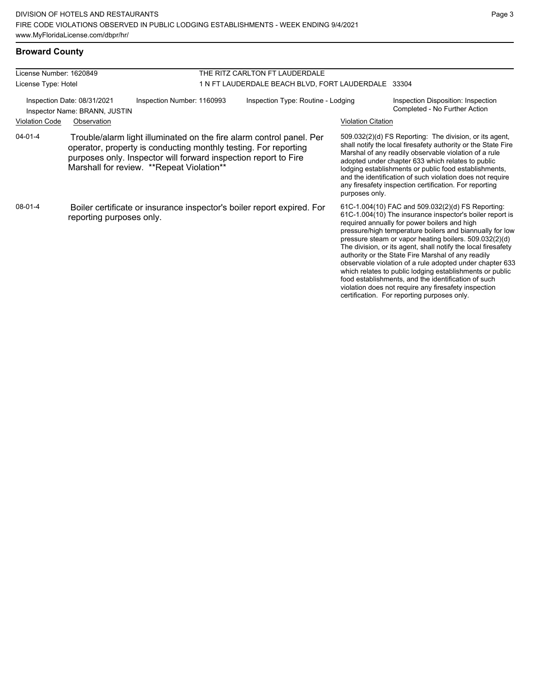| License Number: 1620849 |                                                                                                                                                                                                                                                          |                            | THE RITZ CARLTON FT LAUDERDALE                      |                           |                                                                                                                                                                                                                                                                                                                                                                                                                                                                                                                                                                                                                                                                                                  |  |
|-------------------------|----------------------------------------------------------------------------------------------------------------------------------------------------------------------------------------------------------------------------------------------------------|----------------------------|-----------------------------------------------------|---------------------------|--------------------------------------------------------------------------------------------------------------------------------------------------------------------------------------------------------------------------------------------------------------------------------------------------------------------------------------------------------------------------------------------------------------------------------------------------------------------------------------------------------------------------------------------------------------------------------------------------------------------------------------------------------------------------------------------------|--|
| License Type: Hotel     |                                                                                                                                                                                                                                                          |                            | 1 N FT LAUDERDALE BEACH BLVD, FORT LAUDERDALE 33304 |                           |                                                                                                                                                                                                                                                                                                                                                                                                                                                                                                                                                                                                                                                                                                  |  |
|                         | Inspection Date: 08/31/2021<br>Inspector Name: BRANN, JUSTIN                                                                                                                                                                                             | Inspection Number: 1160993 | Inspection Type: Routine - Lodging                  |                           | Inspection Disposition: Inspection<br>Completed - No Further Action                                                                                                                                                                                                                                                                                                                                                                                                                                                                                                                                                                                                                              |  |
| <b>Violation Code</b>   | Observation                                                                                                                                                                                                                                              |                            |                                                     | <b>Violation Citation</b> |                                                                                                                                                                                                                                                                                                                                                                                                                                                                                                                                                                                                                                                                                                  |  |
| $04 - 01 - 4$           | Trouble/alarm light illuminated on the fire alarm control panel. Per<br>operator, property is conducting monthly testing. For reporting<br>purposes only. Inspector will forward inspection report to Fire<br>Marshall for review. ** Repeat Violation** |                            |                                                     | purposes only.            | 509.032(2)(d) FS Reporting: The division, or its agent,<br>shall notify the local firesafety authority or the State Fire<br>Marshal of any readily observable violation of a rule<br>adopted under chapter 633 which relates to public<br>lodging establishments or public food establishments,<br>and the identification of such violation does not require<br>any firesafety inspection certification. For reporting                                                                                                                                                                                                                                                                           |  |
| 08-01-4                 | Boiler certificate or insurance inspector's boiler report expired. For<br>reporting purposes only.                                                                                                                                                       |                            |                                                     |                           | 61C-1.004(10) FAC and 509.032(2)(d) FS Reporting:<br>61C-1.004(10) The insurance inspector's boiler report is<br>required annually for power boilers and high<br>pressure/high temperature boilers and biannually for low<br>pressure steam or vapor heating boilers. 509.032(2)(d)<br>The division, or its agent, shall notify the local firesafety<br>authority or the State Fire Marshal of any readily<br>observable violation of a rule adopted under chapter 633<br>which relates to public lodging establishments or public<br>food establishments, and the identification of such<br>violation does not require any firesafety inspection<br>certification. For reporting purposes only. |  |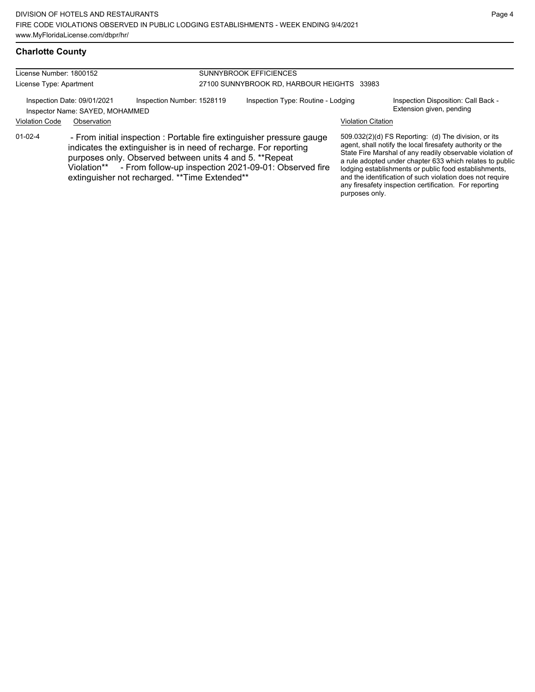| License Number: 1800152 |                                                                |                                                                                                                                                                                                                                                                                                                             | <b>SUNNYBROOK EFFICIENCES</b>              |                           |                                                                                                                                                                                                                                                                                                                                                                                                                            |  |  |
|-------------------------|----------------------------------------------------------------|-----------------------------------------------------------------------------------------------------------------------------------------------------------------------------------------------------------------------------------------------------------------------------------------------------------------------------|--------------------------------------------|---------------------------|----------------------------------------------------------------------------------------------------------------------------------------------------------------------------------------------------------------------------------------------------------------------------------------------------------------------------------------------------------------------------------------------------------------------------|--|--|
| License Type: Apartment |                                                                |                                                                                                                                                                                                                                                                                                                             | 27100 SUNNYBROOK RD, HARBOUR HEIGHTS 33983 |                           |                                                                                                                                                                                                                                                                                                                                                                                                                            |  |  |
|                         | Inspection Date: 09/01/2021<br>Inspector Name: SAYED, MOHAMMED | Inspection Number: 1528119                                                                                                                                                                                                                                                                                                  | Inspection Type: Routine - Lodging         |                           | Inspection Disposition: Call Back -<br>Extension given, pending                                                                                                                                                                                                                                                                                                                                                            |  |  |
| <b>Violation Code</b>   | Observation                                                    |                                                                                                                                                                                                                                                                                                                             |                                            | <b>Violation Citation</b> |                                                                                                                                                                                                                                                                                                                                                                                                                            |  |  |
| $01-02-4$               |                                                                | - From initial inspection : Portable fire extinguisher pressure gauge<br>indicates the extinguisher is in need of recharge. For reporting<br>purposes only. Observed between units 4 and 5. **Repeat<br>Violation** - From follow-up inspection 2021-09-01: Observed fire<br>extinguisher not recharged. ** Time Extended** |                                            | purposes only.            | 509.032(2)(d) FS Reporting: (d) The division, or its<br>agent, shall notify the local firesafety authority or the<br>State Fire Marshal of any readily observable violation of<br>a rule adopted under chapter 633 which relates to public<br>lodging establishments or public food establishments,<br>and the identification of such violation does not require<br>any firesafety inspection certification. For reporting |  |  |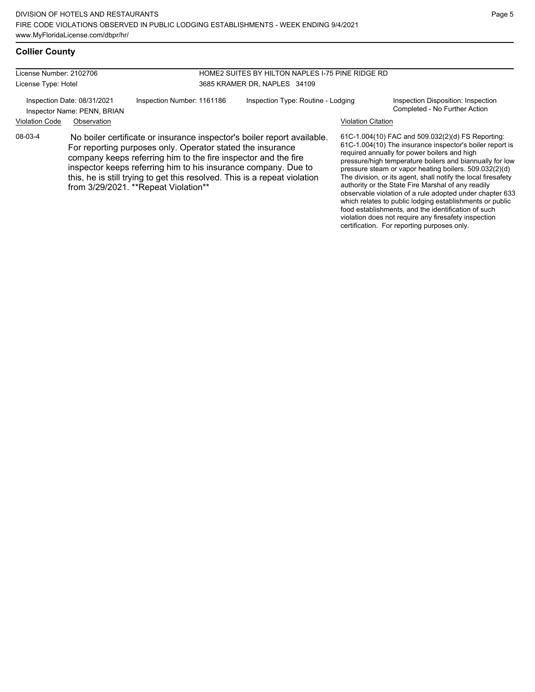#### **Collier County**

License Number: 2102706 License Type: Hotel

HOME2 SUITES BY HILTON NAPLES I-75 PINE RIDGE RD 3685 KRAMER DR, NAPLES 34109

Inspector Name: PENN, BRIAN

Inspection Date: 08/31/2021 Inspection Number: 1161186 Inspection Type: Routine - Lodging Inspection Disposition: Inspection<br>Inspector Name: PENN BRIAN

# Violation Code Observation Violation Citation

08-03-4 No boiler certificate or insurance inspector's boiler report available. For reporting purposes only. Operator stated the insurance company keeps referring him to the fire inspector and the fire inspector keeps referring him to his insurance company. Due to this, he is still trying to get this resolved. This is a repeat violation from 3/29/2021. \*\*Repeat Violation\*\*

61C-1.004(10) FAC and 509.032(2)(d) FS Reporting: 61C-1.004(10) The insurance inspector's boiler report is required annually for power boilers and high pressure/high temperature boilers and biannually for low pressure steam or vapor heating boilers. 509.032(2)(d) The division, or its agent, shall notify the local firesafety authority or the State Fire Marshal of any readily observable violation of a rule adopted under chapter 633 which relates to public lodging establishments or public food establishments, and the identification of such violation does not require any firesafety inspection certification. For reporting purposes only.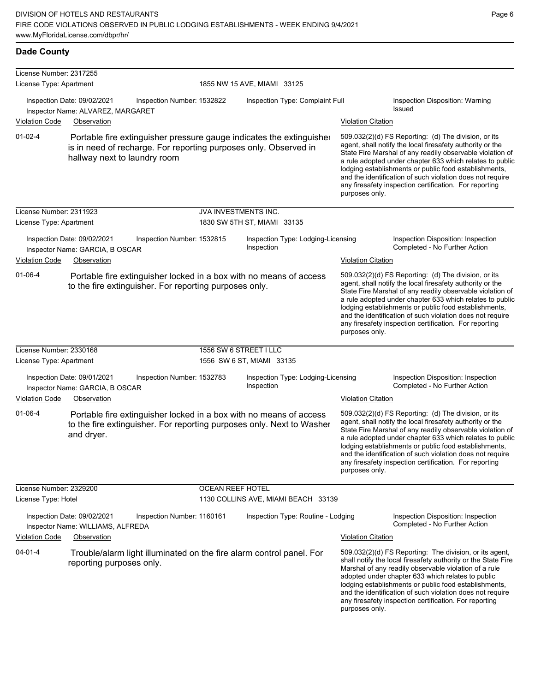| <b>Dade County</b>                                 |                                                                                 |                            |                         |                                                                                                                                             |                           |                                                                                                                                                                                                                                                                                                                                                                                                                            |
|----------------------------------------------------|---------------------------------------------------------------------------------|----------------------------|-------------------------|---------------------------------------------------------------------------------------------------------------------------------------------|---------------------------|----------------------------------------------------------------------------------------------------------------------------------------------------------------------------------------------------------------------------------------------------------------------------------------------------------------------------------------------------------------------------------------------------------------------------|
| License Number: 2317255<br>License Type: Apartment |                                                                                 |                            |                         | 1855 NW 15 AVE, MIAMI 33125                                                                                                                 |                           |                                                                                                                                                                                                                                                                                                                                                                                                                            |
| <b>Violation Code</b>                              | Inspection Date: 09/02/2021<br>Inspector Name: ALVAREZ, MARGARET<br>Observation | Inspection Number: 1532822 |                         | Inspection Type: Complaint Full<br><b>Violation Citation</b>                                                                                |                           | Inspection Disposition: Warning<br><b>Issued</b>                                                                                                                                                                                                                                                                                                                                                                           |
| $01 - 02 - 4$                                      | hallway next to laundry room                                                    |                            |                         | Portable fire extinguisher pressure gauge indicates the extinguisher<br>is in need of recharge. For reporting purposes only. Observed in    | purposes only.            | 509.032(2)(d) FS Reporting: (d) The division, or its<br>agent, shall notify the local firesafety authority or the<br>State Fire Marshal of any readily observable violation of<br>a rule adopted under chapter 633 which relates to public<br>lodging establishments or public food establishments,<br>and the identification of such violation does not require<br>any firesafety inspection certification. For reporting |
| License Number: 2311923                            |                                                                                 |                            | JVA INVESTMENTS INC.    |                                                                                                                                             |                           |                                                                                                                                                                                                                                                                                                                                                                                                                            |
| License Type: Apartment                            |                                                                                 |                            |                         | 1830 SW 5TH ST, MIAMI 33135                                                                                                                 |                           |                                                                                                                                                                                                                                                                                                                                                                                                                            |
|                                                    | Inspection Date: 09/02/2021<br>Inspector Name: GARCIA, B OSCAR                  | Inspection Number: 1532815 |                         | Inspection Type: Lodging-Licensing<br>Inspection                                                                                            |                           | Inspection Disposition: Inspection<br>Completed - No Further Action                                                                                                                                                                                                                                                                                                                                                        |
| Violation Code                                     | Observation                                                                     |                            |                         |                                                                                                                                             | <b>Violation Citation</b> |                                                                                                                                                                                                                                                                                                                                                                                                                            |
| $01 - 06 - 4$                                      | to the fire extinguisher. For reporting purposes only.                          |                            |                         | Portable fire extinguisher locked in a box with no means of access                                                                          | purposes only.            | 509.032(2)(d) FS Reporting: (d) The division, or its<br>agent, shall notify the local firesafety authority or the<br>State Fire Marshal of any readily observable violation of<br>a rule adopted under chapter 633 which relates to public<br>lodging establishments or public food establishments,<br>and the identification of such violation does not require<br>any firesafety inspection certification. For reporting |
| License Number: 2330168                            |                                                                                 |                            | 1556 SW 6 STREET I LLC  |                                                                                                                                             |                           |                                                                                                                                                                                                                                                                                                                                                                                                                            |
| License Type: Apartment                            |                                                                                 |                            |                         | 1556 SW 6 ST, MIAMI 33135                                                                                                                   |                           |                                                                                                                                                                                                                                                                                                                                                                                                                            |
|                                                    | Inspection Date: 09/01/2021<br>Inspector Name: GARCIA, B OSCAR                  | Inspection Number: 1532783 |                         | Inspection Type: Lodging-Licensing<br>Inspection                                                                                            |                           | Inspection Disposition: Inspection<br>Completed - No Further Action                                                                                                                                                                                                                                                                                                                                                        |
| <b>Violation Code</b>                              | Observation                                                                     |                            |                         |                                                                                                                                             | <b>Violation Citation</b> |                                                                                                                                                                                                                                                                                                                                                                                                                            |
| $01 - 06 - 4$                                      | and dryer.                                                                      |                            |                         | Portable fire extinguisher locked in a box with no means of access<br>to the fire extinguisher. For reporting purposes only. Next to Washer | purposes only.            | 509.032(2)(d) FS Reporting: (d) The division, or its<br>agent, shall notify the local firesafety authority or the<br>State Fire Marshal of any readily observable violation of<br>a rule adopted under chapter 633 which relates to public<br>lodging establishments or public food establishments,<br>and the identification of such violation does not require<br>any firesafety inspection certification. For reporting |
| License Number: 2329200                            |                                                                                 |                            | <b>OCEAN REEF HOTEL</b> |                                                                                                                                             |                           |                                                                                                                                                                                                                                                                                                                                                                                                                            |
| License Type: Hotel                                |                                                                                 |                            |                         | 1130 COLLINS AVE, MIAMI BEACH 33139                                                                                                         |                           |                                                                                                                                                                                                                                                                                                                                                                                                                            |
|                                                    | Inspection Date: 09/02/2021<br>Inspector Name: WILLIAMS, ALFREDA                | Inspection Number: 1160161 |                         | Inspection Type: Routine - Lodging                                                                                                          |                           | Inspection Disposition: Inspection<br>Completed - No Further Action                                                                                                                                                                                                                                                                                                                                                        |
| <b>Violation Code</b>                              | Observation                                                                     |                            |                         |                                                                                                                                             | <b>Violation Citation</b> |                                                                                                                                                                                                                                                                                                                                                                                                                            |
| $04 - 01 - 4$                                      | reporting purposes only.                                                        |                            |                         | Trouble/alarm light illuminated on the fire alarm control panel. For                                                                        | purposes only.            | 509.032(2)(d) FS Reporting: The division, or its agent,<br>shall notify the local firesafety authority or the State Fire<br>Marshal of any readily observable violation of a rule<br>adopted under chapter 633 which relates to public<br>lodging establishments or public food establishments,<br>and the identification of such violation does not require<br>any firesafety inspection certification. For reporting     |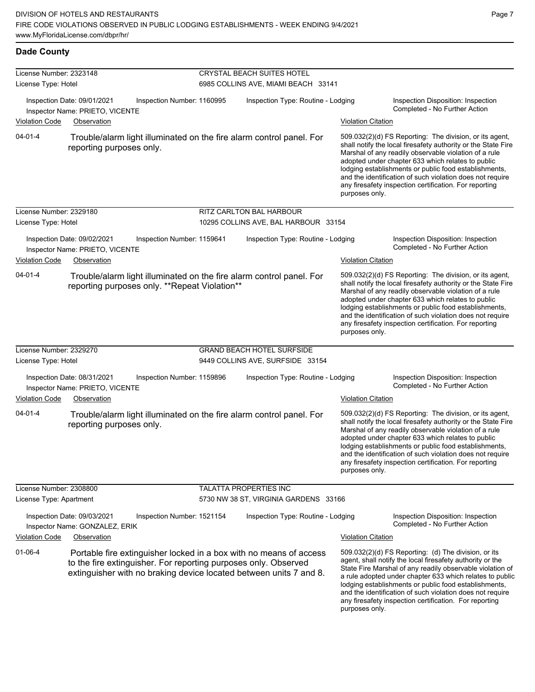#### **Dade County**

| License Number: 2323148 |                                                                |                                                                 | CRYSTAL BEACH SUITES HOTEL          |                                                                                                                                          |                           |                                                                                                                                                                                                                                                                                                                                                                                                                            |  |  |
|-------------------------|----------------------------------------------------------------|-----------------------------------------------------------------|-------------------------------------|------------------------------------------------------------------------------------------------------------------------------------------|---------------------------|----------------------------------------------------------------------------------------------------------------------------------------------------------------------------------------------------------------------------------------------------------------------------------------------------------------------------------------------------------------------------------------------------------------------------|--|--|
| License Type: Hotel     |                                                                |                                                                 | 6985 COLLINS AVE, MIAMI BEACH 33141 |                                                                                                                                          |                           |                                                                                                                                                                                                                                                                                                                                                                                                                            |  |  |
|                         | Inspection Date: 09/01/2021<br>Inspector Name: PRIETO, VICENTE | Inspection Number: 1160995                                      |                                     | Inspection Type: Routine - Lodging                                                                                                       |                           | Inspection Disposition: Inspection<br>Completed - No Further Action                                                                                                                                                                                                                                                                                                                                                        |  |  |
| <b>Violation Code</b>   | Observation                                                    |                                                                 |                                     |                                                                                                                                          | <u>Violation Citation</u> |                                                                                                                                                                                                                                                                                                                                                                                                                            |  |  |
| $04 - 01 - 4$           | reporting purposes only.                                       |                                                                 |                                     | Trouble/alarm light illuminated on the fire alarm control panel. For                                                                     | purposes only.            | 509.032(2)(d) FS Reporting: The division, or its agent,<br>shall notify the local firesafety authority or the State Fire<br>Marshal of any readily observable violation of a rule<br>adopted under chapter 633 which relates to public<br>lodging establishments or public food establishments,<br>and the identification of such violation does not require<br>any firesafety inspection certification. For reporting     |  |  |
| License Number: 2329180 |                                                                |                                                                 |                                     | RITZ CARLTON BAL HARBOUR                                                                                                                 |                           |                                                                                                                                                                                                                                                                                                                                                                                                                            |  |  |
| License Type: Hotel     |                                                                |                                                                 |                                     | 10295 COLLINS AVE, BAL HARBOUR 33154                                                                                                     |                           |                                                                                                                                                                                                                                                                                                                                                                                                                            |  |  |
|                         | Inspection Date: 09/02/2021<br>Inspector Name: PRIETO, VICENTE | Inspection Number: 1159641                                      |                                     | Inspection Type: Routine - Lodging                                                                                                       |                           | Inspection Disposition: Inspection<br>Completed - No Further Action                                                                                                                                                                                                                                                                                                                                                        |  |  |
| <b>Violation Code</b>   | Observation                                                    |                                                                 |                                     |                                                                                                                                          | <b>Violation Citation</b> |                                                                                                                                                                                                                                                                                                                                                                                                                            |  |  |
| $04 - 01 - 4$           |                                                                | reporting purposes only. **Repeat Violation**                   |                                     | Trouble/alarm light illuminated on the fire alarm control panel. For                                                                     | purposes only.            | 509.032(2)(d) FS Reporting: The division, or its agent,<br>shall notify the local firesafety authority or the State Fire<br>Marshal of any readily observable violation of a rule<br>adopted under chapter 633 which relates to public<br>lodging establishments or public food establishments,<br>and the identification of such violation does not require<br>any firesafety inspection certification. For reporting     |  |  |
| License Number: 2329270 |                                                                |                                                                 |                                     | <b>GRAND BEACH HOTEL SURFSIDE</b>                                                                                                        |                           |                                                                                                                                                                                                                                                                                                                                                                                                                            |  |  |
| License Type: Hotel     |                                                                |                                                                 |                                     | 9449 COLLINS AVE, SURFSIDE 33154                                                                                                         |                           |                                                                                                                                                                                                                                                                                                                                                                                                                            |  |  |
|                         | Inspection Date: 08/31/2021<br>Inspector Name: PRIETO, VICENTE | Inspection Number: 1159896                                      |                                     | Inspection Type: Routine - Lodging                                                                                                       |                           | Inspection Disposition: Inspection<br>Completed - No Further Action                                                                                                                                                                                                                                                                                                                                                        |  |  |
| <b>Violation Code</b>   | Observation                                                    |                                                                 |                                     |                                                                                                                                          | <b>Violation Citation</b> |                                                                                                                                                                                                                                                                                                                                                                                                                            |  |  |
| $04 - 01 - 4$           | reporting purposes only.                                       |                                                                 |                                     | Trouble/alarm light illuminated on the fire alarm control panel. For                                                                     | purposes only.            | 509.032(2)(d) FS Reporting: The division, or its agent,<br>shall notify the local firesafety authority or the State Fire<br>Marshal of any readily observable violation of a rule<br>adopted under chapter 633 which relates to public<br>lodging establishments or public food establishments,<br>and the identification of such violation does not require<br>any firesafety inspection certification. For reporting     |  |  |
| License Number: 2308800 |                                                                |                                                                 |                                     | TALATTA PROPERTIES INC                                                                                                                   |                           |                                                                                                                                                                                                                                                                                                                                                                                                                            |  |  |
| License Type: Apartment |                                                                |                                                                 |                                     | 5730 NW 38 ST, VIRGINIA GARDENS 33166                                                                                                    |                           |                                                                                                                                                                                                                                                                                                                                                                                                                            |  |  |
|                         | Inspection Date: 09/03/2021<br>Inspector Name: GONZALEZ, ERIK  | Inspection Number: 1521154                                      |                                     | Inspection Type: Routine - Lodging                                                                                                       |                           | Inspection Disposition: Inspection<br>Completed - No Further Action                                                                                                                                                                                                                                                                                                                                                        |  |  |
| <b>Violation Code</b>   | Observation                                                    |                                                                 |                                     |                                                                                                                                          | <b>Violation Citation</b> |                                                                                                                                                                                                                                                                                                                                                                                                                            |  |  |
| $01 - 06 - 4$           |                                                                | to the fire extinguisher. For reporting purposes only. Observed |                                     | Portable fire extinguisher locked in a box with no means of access<br>extinguisher with no braking device located between units 7 and 8. | purposes only.            | 509.032(2)(d) FS Reporting: (d) The division, or its<br>agent, shall notify the local firesafety authority or the<br>State Fire Marshal of any readily observable violation of<br>a rule adopted under chapter 633 which relates to public<br>lodging establishments or public food establishments,<br>and the identification of such violation does not require<br>any firesafety inspection certification. For reporting |  |  |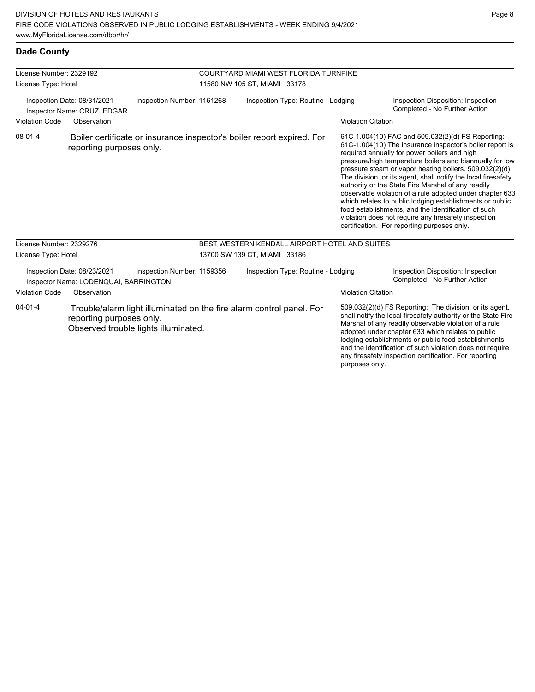#### **Dade County**

| License Number: 2329192<br>License Type: Hotel |                                                                      |                                      | COURTYARD MIAMI WEST FLORIDA TURNPIKE<br>11580 NW 105 ST, MIAMI 33178 |                                                                        |                           |                                                                                                                                                                                                                                                                                                                                                                                                                                                                                                                                                                                                                                                                                                  |
|------------------------------------------------|----------------------------------------------------------------------|--------------------------------------|-----------------------------------------------------------------------|------------------------------------------------------------------------|---------------------------|--------------------------------------------------------------------------------------------------------------------------------------------------------------------------------------------------------------------------------------------------------------------------------------------------------------------------------------------------------------------------------------------------------------------------------------------------------------------------------------------------------------------------------------------------------------------------------------------------------------------------------------------------------------------------------------------------|
|                                                | Inspection Date: 08/31/2021<br>Inspector Name: CRUZ, EDGAR           | Inspection Number: 1161268           | Inspection Type: Routine - Lodging                                    |                                                                        |                           | Inspection Disposition: Inspection<br>Completed - No Further Action                                                                                                                                                                                                                                                                                                                                                                                                                                                                                                                                                                                                                              |
| <b>Violation Code</b>                          | Observation                                                          |                                      |                                                                       |                                                                        | <b>Violation Citation</b> |                                                                                                                                                                                                                                                                                                                                                                                                                                                                                                                                                                                                                                                                                                  |
| $08 - 01 - 4$                                  | reporting purposes only.                                             |                                      |                                                                       | Boiler certificate or insurance inspector's boiler report expired. For |                           | 61C-1.004(10) FAC and 509.032(2)(d) FS Reporting:<br>61C-1.004(10) The insurance inspector's boiler report is<br>required annually for power boilers and high<br>pressure/high temperature boilers and biannually for low<br>pressure steam or vapor heating boilers. 509.032(2)(d)<br>The division, or its agent, shall notify the local firesafety<br>authority or the State Fire Marshal of any readily<br>observable violation of a rule adopted under chapter 633<br>which relates to public lodging establishments or public<br>food establishments, and the identification of such<br>violation does not require any firesafety inspection<br>certification. For reporting purposes only. |
| License Number: 2329276                        |                                                                      |                                      |                                                                       | BEST WESTERN KENDALL AIRPORT HOTEL AND SUITES                          |                           |                                                                                                                                                                                                                                                                                                                                                                                                                                                                                                                                                                                                                                                                                                  |
| License Type: Hotel                            |                                                                      |                                      |                                                                       | 13700 SW 139 CT, MIAMI 33186                                           |                           |                                                                                                                                                                                                                                                                                                                                                                                                                                                                                                                                                                                                                                                                                                  |
|                                                | Inspection Date: 08/23/2021<br>Inspector Name: LODENQUAI, BARRINGTON | Inspection Number: 1159356           |                                                                       | Inspection Type: Routine - Lodging                                     |                           | Inspection Disposition: Inspection<br>Completed - No Further Action                                                                                                                                                                                                                                                                                                                                                                                                                                                                                                                                                                                                                              |
| <b>Violation Code</b>                          | Observation                                                          |                                      |                                                                       |                                                                        | <b>Violation Citation</b> |                                                                                                                                                                                                                                                                                                                                                                                                                                                                                                                                                                                                                                                                                                  |
| $04 - 01 - 4$                                  | reporting purposes only.                                             | Observed trouble lights illuminated. |                                                                       | Trouble/alarm light illuminated on the fire alarm control panel. For   | purposes only.            | 509.032(2)(d) FS Reporting: The division, or its agent,<br>shall notify the local firesafety authority or the State Fire<br>Marshal of any readily observable violation of a rule<br>adopted under chapter 633 which relates to public<br>lodging establishments or public food establishments,<br>and the identification of such violation does not require<br>any firesafety inspection certification. For reporting                                                                                                                                                                                                                                                                           |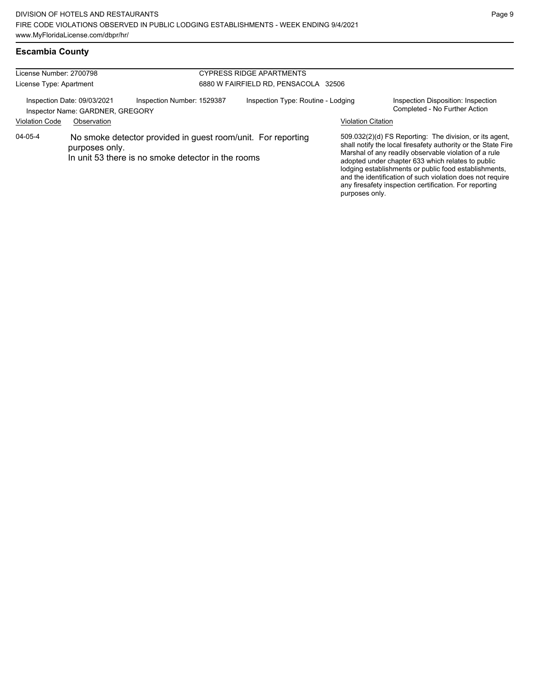#### **Escambia County**

| License Number: 2700798<br>License Type: Apartment |                                                                 |                                                                                                                    | <b>CYPRESS RIDGE APARTMENTS</b><br>6880 W FAIRFIELD RD. PENSACOLA 32506 |                           |                                                                                                                                                                                                                                                                                                                                                                                                                        |  |  |  |
|----------------------------------------------------|-----------------------------------------------------------------|--------------------------------------------------------------------------------------------------------------------|-------------------------------------------------------------------------|---------------------------|------------------------------------------------------------------------------------------------------------------------------------------------------------------------------------------------------------------------------------------------------------------------------------------------------------------------------------------------------------------------------------------------------------------------|--|--|--|
|                                                    | Inspection Date: 09/03/2021<br>Inspector Name: GARDNER, GREGORY | Inspection Number: 1529387                                                                                         | Inspection Type: Routine - Lodging                                      |                           | Inspection Disposition: Inspection<br>Completed - No Further Action                                                                                                                                                                                                                                                                                                                                                    |  |  |  |
| <b>Violation Code</b>                              | Observation                                                     |                                                                                                                    |                                                                         | <b>Violation Citation</b> |                                                                                                                                                                                                                                                                                                                                                                                                                        |  |  |  |
| 04-05-4                                            | purposes only.                                                  | No smoke detector provided in guest room/unit. For reporting<br>In unit 53 there is no smoke detector in the rooms |                                                                         | purposes only.            | 509.032(2)(d) FS Reporting: The division, or its agent,<br>shall notify the local firesafety authority or the State Fire<br>Marshal of any readily observable violation of a rule<br>adopted under chapter 633 which relates to public<br>lodging establishments or public food establishments,<br>and the identification of such violation does not require<br>any firesafety inspection certification. For reporting |  |  |  |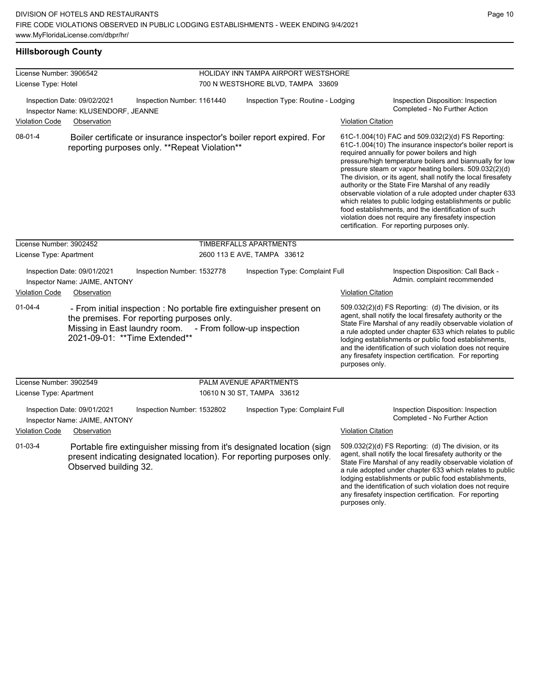**Hillsborough County**

| License Number: 3906542              |                                                                   |                                                                                                                                           | HOLIDAY INN TAMPA AIRPORT WESTSHORE                                                                                                             |                           |                                                                                                                                                                                                                                                                                                                                                                                                                                                                                                                                                                                                                                                                                                  |  |
|--------------------------------------|-------------------------------------------------------------------|-------------------------------------------------------------------------------------------------------------------------------------------|-------------------------------------------------------------------------------------------------------------------------------------------------|---------------------------|--------------------------------------------------------------------------------------------------------------------------------------------------------------------------------------------------------------------------------------------------------------------------------------------------------------------------------------------------------------------------------------------------------------------------------------------------------------------------------------------------------------------------------------------------------------------------------------------------------------------------------------------------------------------------------------------------|--|
| License Type: Hotel                  |                                                                   |                                                                                                                                           | 700 N WESTSHORE BLVD, TAMPA 33609                                                                                                               |                           |                                                                                                                                                                                                                                                                                                                                                                                                                                                                                                                                                                                                                                                                                                  |  |
|                                      | Inspection Date: 09/02/2021<br>Inspector Name: KLUSENDORF, JEANNE | Inspection Number: 1161440                                                                                                                | Inspection Type: Routine - Lodging                                                                                                              |                           | Inspection Disposition: Inspection<br>Completed - No Further Action                                                                                                                                                                                                                                                                                                                                                                                                                                                                                                                                                                                                                              |  |
| <b>Violation Code</b>                | Observation                                                       |                                                                                                                                           |                                                                                                                                                 | <b>Violation Citation</b> |                                                                                                                                                                                                                                                                                                                                                                                                                                                                                                                                                                                                                                                                                                  |  |
| 08-01-4                              |                                                                   | reporting purposes only. **Repeat Violation**                                                                                             | Boiler certificate or insurance inspector's boiler report expired. For                                                                          |                           | 61C-1.004(10) FAC and 509.032(2)(d) FS Reporting:<br>61C-1.004(10) The insurance inspector's boiler report is<br>required annually for power boilers and high<br>pressure/high temperature boilers and biannually for low<br>pressure steam or vapor heating boilers. 509.032(2)(d)<br>The division, or its agent, shall notify the local firesafety<br>authority or the State Fire Marshal of any readily<br>observable violation of a rule adopted under chapter 633<br>which relates to public lodging establishments or public<br>food establishments, and the identification of such<br>violation does not require any firesafety inspection<br>certification. For reporting purposes only. |  |
| License Number: 3902452              |                                                                   |                                                                                                                                           | TIMBERFALLS APARTMENTS                                                                                                                          |                           |                                                                                                                                                                                                                                                                                                                                                                                                                                                                                                                                                                                                                                                                                                  |  |
| License Type: Apartment              |                                                                   |                                                                                                                                           | 2600 113 E AVE, TAMPA 33612                                                                                                                     |                           |                                                                                                                                                                                                                                                                                                                                                                                                                                                                                                                                                                                                                                                                                                  |  |
|                                      | Inspection Date: 09/01/2021<br>Inspector Name: JAIME, ANTONY      | Inspection Number: 1532778                                                                                                                | Inspection Type: Complaint Full                                                                                                                 |                           | Inspection Disposition: Call Back -<br>Admin. complaint recommended                                                                                                                                                                                                                                                                                                                                                                                                                                                                                                                                                                                                                              |  |
| <b>Violation Code</b><br>Observation |                                                                   |                                                                                                                                           |                                                                                                                                                 | <b>Violation Citation</b> |                                                                                                                                                                                                                                                                                                                                                                                                                                                                                                                                                                                                                                                                                                  |  |
| $01 - 04 - 4$                        |                                                                   | the premises. For reporting purposes only.<br>Missing in East laundry room. - From follow-up inspection<br>2021-09-01: ** Time Extended** | - From initial inspection : No portable fire extinguisher present on                                                                            | purposes only.            | 509.032(2)(d) FS Reporting: (d) The division, or its<br>agent, shall notify the local firesafety authority or the<br>State Fire Marshal of any readily observable violation of<br>a rule adopted under chapter 633 which relates to public<br>lodging establishments or public food establishments,<br>and the identification of such violation does not require<br>any firesafety inspection certification. For reporting                                                                                                                                                                                                                                                                       |  |
| License Number: 3902549              |                                                                   |                                                                                                                                           | PALM AVENUE APARTMENTS                                                                                                                          |                           |                                                                                                                                                                                                                                                                                                                                                                                                                                                                                                                                                                                                                                                                                                  |  |
| License Type: Apartment              |                                                                   |                                                                                                                                           | 10610 N 30 ST, TAMPA 33612                                                                                                                      |                           |                                                                                                                                                                                                                                                                                                                                                                                                                                                                                                                                                                                                                                                                                                  |  |
|                                      | Inspection Date: 09/01/2021<br>Inspector Name: JAIME, ANTONY      | Inspection Number: 1532802                                                                                                                | Inspection Type: Complaint Full                                                                                                                 |                           | Inspection Disposition: Inspection<br>Completed - No Further Action                                                                                                                                                                                                                                                                                                                                                                                                                                                                                                                                                                                                                              |  |
| <b>Violation Code</b>                | Observation                                                       |                                                                                                                                           |                                                                                                                                                 | <b>Violation Citation</b> |                                                                                                                                                                                                                                                                                                                                                                                                                                                                                                                                                                                                                                                                                                  |  |
| $01 - 03 - 4$                        | Observed building 32.                                             |                                                                                                                                           | Portable fire extinguisher missing from it's designated location (sign<br>present indicating designated location). For reporting purposes only. | purposes only.            | 509.032(2)(d) FS Reporting: (d) The division, or its<br>agent, shall notify the local firesafety authority or the<br>State Fire Marshal of any readily observable violation of<br>a rule adopted under chapter 633 which relates to public<br>lodging establishments or public food establishments,<br>and the identification of such violation does not require<br>any firesafety inspection certification. For reporting                                                                                                                                                                                                                                                                       |  |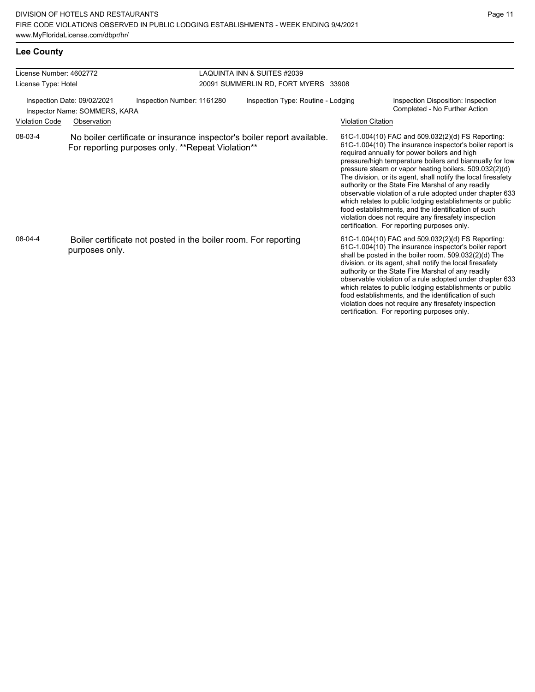#### **Lee County**

| License Number: 4602772                                      |                                                   |                                                                 | <b>LAQUINTA INN &amp; SUITES #2039</b> |                                                                         |  |                           |                                                                                                                                                                                                                                                                                                                                                                                                                                                                                                                                                                                                                                                                                                  |
|--------------------------------------------------------------|---------------------------------------------------|-----------------------------------------------------------------|----------------------------------------|-------------------------------------------------------------------------|--|---------------------------|--------------------------------------------------------------------------------------------------------------------------------------------------------------------------------------------------------------------------------------------------------------------------------------------------------------------------------------------------------------------------------------------------------------------------------------------------------------------------------------------------------------------------------------------------------------------------------------------------------------------------------------------------------------------------------------------------|
| License Type: Hotel                                          |                                                   |                                                                 |                                        | 20091 SUMMERLIN RD, FORT MYERS 33908                                    |  |                           |                                                                                                                                                                                                                                                                                                                                                                                                                                                                                                                                                                                                                                                                                                  |
| Inspection Date: 09/02/2021<br>Inspector Name: SOMMERS, KARA |                                                   | Inspection Number: 1161280                                      |                                        | Inspection Type: Routine - Lodging                                      |  |                           | Inspection Disposition: Inspection<br>Completed - No Further Action                                                                                                                                                                                                                                                                                                                                                                                                                                                                                                                                                                                                                              |
| <b>Violation Code</b>                                        | Observation                                       |                                                                 |                                        |                                                                         |  | <b>Violation Citation</b> |                                                                                                                                                                                                                                                                                                                                                                                                                                                                                                                                                                                                                                                                                                  |
| 08-03-4                                                      | For reporting purposes only. **Repeat Violation** |                                                                 |                                        | No boiler certificate or insurance inspector's boiler report available. |  |                           | 61C-1.004(10) FAC and 509.032(2)(d) FS Reporting:<br>61C-1.004(10) The insurance inspector's boiler report is<br>required annually for power boilers and high<br>pressure/high temperature boilers and biannually for low<br>pressure steam or vapor heating boilers. 509.032(2)(d)<br>The division, or its agent, shall notify the local firesafety<br>authority or the State Fire Marshal of any readily<br>observable violation of a rule adopted under chapter 633<br>which relates to public lodging establishments or public<br>food establishments, and the identification of such<br>violation does not require any firesafety inspection<br>certification. For reporting purposes only. |
| 08-04-4                                                      | purposes only.                                    | Boiler certificate not posted in the boiler room. For reporting |                                        |                                                                         |  |                           | 61C-1.004(10) FAC and 509.032(2)(d) FS Reporting:<br>61C-1.004(10) The insurance inspector's boiler report<br>shall be posted in the boiler room. 509.032(2)(d) The<br>division, or its agent, shall notify the local firesafety<br>authority or the State Fire Marshal of any readily<br>observable violation of a rule adopted under chapter 633<br>which relates to public lodging establishments or public<br>food establishments, and the identification of such<br>violation does not require any firesafety inspection<br>certification. For reporting purposes only.                                                                                                                     |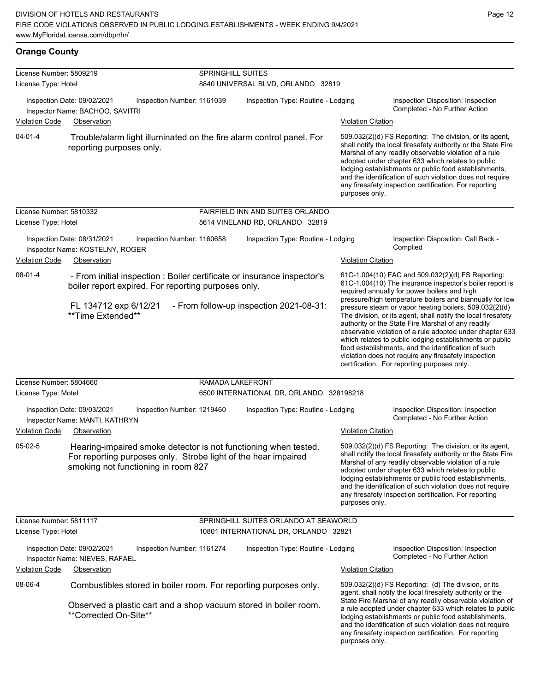## **Orange County**

|                                                                                                                   | License Number: 5809219<br>License Type: Hotel                                                                                                                           |                                    | <b>SPRINGHILL SUITES</b><br>8840 UNIVERSAL BLVD, ORLANDO 32819                                                     |                                                                                                  |                                                                                                                                                                                                                                                                                                                                                                                                                                                                                                                                                                                                                                                                                                  |  |  |  |  |
|-------------------------------------------------------------------------------------------------------------------|--------------------------------------------------------------------------------------------------------------------------------------------------------------------------|------------------------------------|--------------------------------------------------------------------------------------------------------------------|--------------------------------------------------------------------------------------------------|--------------------------------------------------------------------------------------------------------------------------------------------------------------------------------------------------------------------------------------------------------------------------------------------------------------------------------------------------------------------------------------------------------------------------------------------------------------------------------------------------------------------------------------------------------------------------------------------------------------------------------------------------------------------------------------------------|--|--|--|--|
| <b>Violation Code</b>                                                                                             | Inspection Date: 09/02/2021<br>Inspection Number: 1161039<br>Inspector Name: BACHOO, SAVITRI<br>Observation                                                              | Inspection Type: Routine - Lodging |                                                                                                                    | Inspection Disposition: Inspection<br>Completed - No Further Action<br><b>Violation Citation</b> |                                                                                                                                                                                                                                                                                                                                                                                                                                                                                                                                                                                                                                                                                                  |  |  |  |  |
| $04 - 01 - 4$<br>Trouble/alarm light illuminated on the fire alarm control panel. For<br>reporting purposes only. |                                                                                                                                                                          |                                    |                                                                                                                    | purposes only.                                                                                   | 509.032(2)(d) FS Reporting: The division, or its agent,<br>shall notify the local firesafety authority or the State Fire<br>Marshal of any readily observable violation of a rule<br>adopted under chapter 633 which relates to public<br>lodging establishments or public food establishments,<br>and the identification of such violation does not require<br>any firesafety inspection certification. For reporting                                                                                                                                                                                                                                                                           |  |  |  |  |
| License Number: 5810332<br>License Type: Hotel                                                                    |                                                                                                                                                                          |                                    | FAIRFIELD INN AND SUITES ORLANDO<br>5614 VINELAND RD, ORLANDO 32819                                                |                                                                                                  |                                                                                                                                                                                                                                                                                                                                                                                                                                                                                                                                                                                                                                                                                                  |  |  |  |  |
| <b>Violation Code</b>                                                                                             | Inspection Date: 08/31/2021<br>Inspection Number: 1160658<br>Inspector Name: KOSTELNY, ROGER<br>Observation                                                              |                                    | Inspection Type: Routine - Lodging                                                                                 | <b>Violation Citation</b>                                                                        | Inspection Disposition: Call Back -<br>Complied                                                                                                                                                                                                                                                                                                                                                                                                                                                                                                                                                                                                                                                  |  |  |  |  |
| 08-01-4<br>boiler report expired. For reporting purposes only.<br>FL 134712 exp 6/12/21<br>**Time Extended**      |                                                                                                                                                                          |                                    | - From initial inspection : Boiler certificate or insurance inspector's<br>- From follow-up inspection 2021-08-31: |                                                                                                  | 61C-1.004(10) FAC and 509.032(2)(d) FS Reporting:<br>61C-1.004(10) The insurance inspector's boiler report is<br>required annually for power boilers and high<br>pressure/high temperature boilers and biannually for low<br>pressure steam or vapor heating boilers. 509.032(2)(d)<br>The division, or its agent, shall notify the local firesafety<br>authority or the State Fire Marshal of any readily<br>observable violation of a rule adopted under chapter 633<br>which relates to public lodging establishments or public<br>food establishments, and the identification of such<br>violation does not require any firesafety inspection<br>certification. For reporting purposes only. |  |  |  |  |
| License Number: 5804660<br>License Type: Motel                                                                    |                                                                                                                                                                          | RAMADA LAKEFRONT                   | 6500 INTERNATIONAL DR, ORLANDO 328198218                                                                           |                                                                                                  |                                                                                                                                                                                                                                                                                                                                                                                                                                                                                                                                                                                                                                                                                                  |  |  |  |  |
| <b>Violation Code</b>                                                                                             | Inspection Date: 09/03/2021<br>Inspection Number: 1219460<br>Inspector Name: MANTI, KATHRYN<br>Observation                                                               |                                    | Inspection Type: Routine - Lodging                                                                                 | <b>Violation Citation</b>                                                                        | Inspection Disposition: Inspection<br>Completed - No Further Action                                                                                                                                                                                                                                                                                                                                                                                                                                                                                                                                                                                                                              |  |  |  |  |
| $05-02-5$                                                                                                         | Hearing-impaired smoke detector is not functioning when tested.<br>For reporting purposes only. Strobe light of the hear impaired<br>smoking not functioning in room 827 |                                    |                                                                                                                    | purposes only.                                                                                   | 509.032(2)(d) FS Reporting: The division, or its agent,<br>shall notify the local firesafety authority or the State Fire<br>Marshal of any readily observable violation of a rule<br>adopted under chapter 633 which relates to public<br>lodging establishments or public food establishments,<br>and the identification of such violation does not require<br>any firesafety inspection certification. For reporting                                                                                                                                                                                                                                                                           |  |  |  |  |
| License Number: 5811117<br>License Type: Hotel                                                                    |                                                                                                                                                                          |                                    | SPRINGHILL SUITES ORLANDO AT SEAWORLD<br>10801 INTERNATIONAL DR, ORLANDO 32821                                     |                                                                                                  |                                                                                                                                                                                                                                                                                                                                                                                                                                                                                                                                                                                                                                                                                                  |  |  |  |  |
| <b>Violation Code</b>                                                                                             | Inspection Date: 09/02/2021<br>Inspection Number: 1161274<br>Inspector Name: NIEVES, RAFAEL<br>Observation                                                               |                                    | Inspection Type: Routine - Lodging                                                                                 | <b>Violation Citation</b>                                                                        | Inspection Disposition: Inspection<br>Completed - No Further Action                                                                                                                                                                                                                                                                                                                                                                                                                                                                                                                                                                                                                              |  |  |  |  |
| 08-06-4                                                                                                           | Combustibles stored in boiler room. For reporting purposes only.                                                                                                         |                                    |                                                                                                                    |                                                                                                  | 509.032(2)(d) FS Reporting: (d) The division, or its                                                                                                                                                                                                                                                                                                                                                                                                                                                                                                                                                                                                                                             |  |  |  |  |
|                                                                                                                   | Observed a plastic cart and a shop vacuum stored in boiler room.<br>**Corrected On-Site**                                                                                |                                    |                                                                                                                    | purposes only.                                                                                   | agent, shall notify the local firesafety authority or the<br>State Fire Marshal of any readily observable violation of<br>a rule adopted under chapter 633 which relates to public<br>lodging establishments or public food establishments,<br>and the identification of such violation does not require<br>any firesafety inspection certification. For reporting                                                                                                                                                                                                                                                                                                                               |  |  |  |  |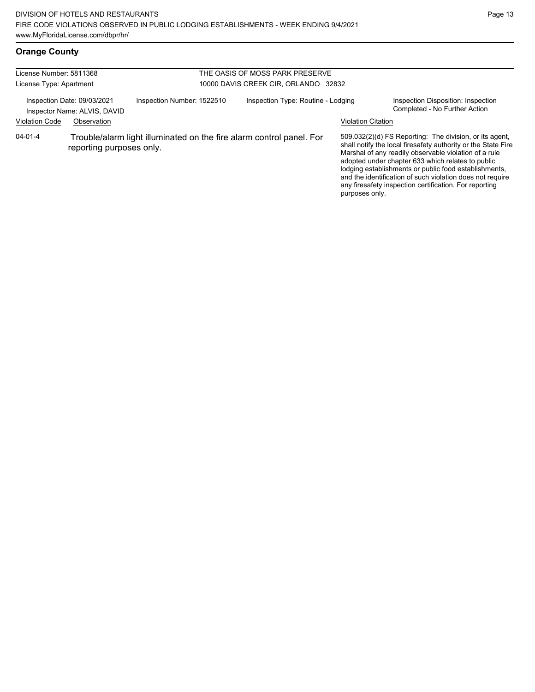## **Orange County**

| License Number: 5811368 |                                                             |                                                                      | THE OASIS OF MOSS PARK PRESERVE      |                           |                                                                                                                                                                                                                                                                                                                                                                                                                        |  |  |  |
|-------------------------|-------------------------------------------------------------|----------------------------------------------------------------------|--------------------------------------|---------------------------|------------------------------------------------------------------------------------------------------------------------------------------------------------------------------------------------------------------------------------------------------------------------------------------------------------------------------------------------------------------------------------------------------------------------|--|--|--|
| License Type: Apartment |                                                             |                                                                      | 10000 DAVIS CREEK CIR, ORLANDO 32832 |                           |                                                                                                                                                                                                                                                                                                                                                                                                                        |  |  |  |
|                         | Inspection Date: 09/03/2021<br>Inspector Name: ALVIS, DAVID | Inspection Number: 1522510                                           | Inspection Type: Routine - Lodging   |                           | Inspection Disposition: Inspection<br>Completed - No Further Action                                                                                                                                                                                                                                                                                                                                                    |  |  |  |
| <b>Violation Code</b>   | Observation                                                 |                                                                      |                                      | <b>Violation Citation</b> |                                                                                                                                                                                                                                                                                                                                                                                                                        |  |  |  |
| $04 - 01 - 4$           | reporting purposes only.                                    | Trouble/alarm light illuminated on the fire alarm control panel. For |                                      | purposes only.            | 509.032(2)(d) FS Reporting: The division, or its agent,<br>shall notify the local firesafety authority or the State Fire<br>Marshal of any readily observable violation of a rule<br>adopted under chapter 633 which relates to public<br>lodging establishments or public food establishments,<br>and the identification of such violation does not require<br>any firesafety inspection certification. For reporting |  |  |  |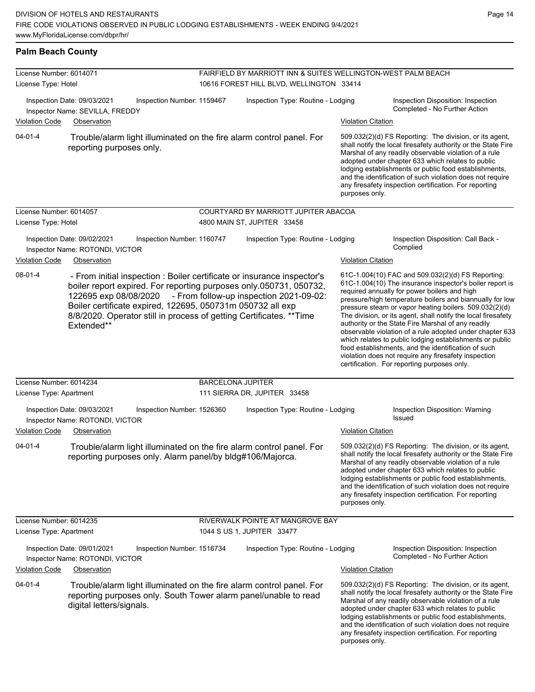#### **Palm Beach County**

| License Number: 6014071<br>License Type: Hotel                                                                                                            |                                                                               | FAIRFIELD BY MARRIOTT INN & SUITES WELLINGTON-WEST PALM BEACH<br>10616 FOREST HILL BLVD, WELLINGTON 33414 |                          |                                                                                                                                                                                                                                                                                                                                                                                                                                          |                           |                                                                                                                                                                                                                                                                                                                                                                                                                                                                                                                                                                                                                                                                                                  |
|-----------------------------------------------------------------------------------------------------------------------------------------------------------|-------------------------------------------------------------------------------|-----------------------------------------------------------------------------------------------------------|--------------------------|------------------------------------------------------------------------------------------------------------------------------------------------------------------------------------------------------------------------------------------------------------------------------------------------------------------------------------------------------------------------------------------------------------------------------------------|---------------------------|--------------------------------------------------------------------------------------------------------------------------------------------------------------------------------------------------------------------------------------------------------------------------------------------------------------------------------------------------------------------------------------------------------------------------------------------------------------------------------------------------------------------------------------------------------------------------------------------------------------------------------------------------------------------------------------------------|
|                                                                                                                                                           | Inspection Date: 09/03/2021<br>Inspector Name: SEVILLA, FREDDY                | Inspection Number: 1159467                                                                                |                          | Inspection Type: Routine - Lodging<br><b>Violation Citation</b>                                                                                                                                                                                                                                                                                                                                                                          |                           | Inspection Disposition: Inspection<br>Completed - No Further Action                                                                                                                                                                                                                                                                                                                                                                                                                                                                                                                                                                                                                              |
| <b>Violation Code</b><br>Observation<br>$04 - 01 - 4$<br>Trouble/alarm light illuminated on the fire alarm control panel. For<br>reporting purposes only. |                                                                               |                                                                                                           |                          | 509.032(2)(d) FS Reporting: The division, or its agent,<br>shall notify the local firesafety authority or the State Fire<br>Marshal of any readily observable violation of a rule<br>adopted under chapter 633 which relates to public<br>lodging establishments or public food establishments,<br>and the identification of such violation does not require<br>any firesafety inspection certification. For reporting<br>purposes only. |                           |                                                                                                                                                                                                                                                                                                                                                                                                                                                                                                                                                                                                                                                                                                  |
| License Number: 6014057<br>License Type: Hotel                                                                                                            |                                                                               |                                                                                                           |                          | COURTYARD BY MARRIOTT JUPITER ABACOA<br>4800 MAIN ST, JUPITER 33458                                                                                                                                                                                                                                                                                                                                                                      |                           |                                                                                                                                                                                                                                                                                                                                                                                                                                                                                                                                                                                                                                                                                                  |
| <b>Violation Code</b>                                                                                                                                     | Inspection Date: 09/02/2021<br>Inspector Name: ROTONDI, VICTOR<br>Observation | Inspection Number: 1160747                                                                                |                          | Inspection Type: Routine - Lodging                                                                                                                                                                                                                                                                                                                                                                                                       | <b>Violation Citation</b> | Inspection Disposition: Call Back -<br>Complied                                                                                                                                                                                                                                                                                                                                                                                                                                                                                                                                                                                                                                                  |
| 08-01-4                                                                                                                                                   | 122695 exp 08/08/2020<br>Extended**                                           | Boiler certificate expired, 122695, 050731m 050732 all exp                                                |                          | - From initial inspection : Boiler certificate or insurance inspector's<br>boiler report expired. For reporting purposes only.050731, 050732,<br>- From follow-up inspection 2021-09-02:<br>8/8/2020. Operator still in process of getting Certificates. ** Time                                                                                                                                                                         |                           | 61C-1.004(10) FAC and 509.032(2)(d) FS Reporting:<br>61C-1.004(10) The insurance inspector's boiler report is<br>required annually for power boilers and high<br>pressure/high temperature boilers and biannually for low<br>pressure steam or vapor heating boilers. 509.032(2)(d)<br>The division, or its agent, shall notify the local firesafety<br>authority or the State Fire Marshal of any readily<br>observable violation of a rule adopted under chapter 633<br>which relates to public lodging establishments or public<br>food establishments, and the identification of such<br>violation does not require any firesafety inspection<br>certification. For reporting purposes only. |
| License Number: 6014234                                                                                                                                   |                                                                               |                                                                                                           | <b>BARCELONA JUPITER</b> |                                                                                                                                                                                                                                                                                                                                                                                                                                          |                           |                                                                                                                                                                                                                                                                                                                                                                                                                                                                                                                                                                                                                                                                                                  |
| License Type: Apartment                                                                                                                                   |                                                                               |                                                                                                           |                          | 111 SIERRA DR, JUPITER 33458                                                                                                                                                                                                                                                                                                                                                                                                             |                           |                                                                                                                                                                                                                                                                                                                                                                                                                                                                                                                                                                                                                                                                                                  |
|                                                                                                                                                           | Inspection Date: 09/03/2021<br>Inspector Name: ROTONDI, VICTOR                | Inspection Number: 1526360                                                                                |                          | Inspection Type: Routine - Lodging                                                                                                                                                                                                                                                                                                                                                                                                       |                           | Inspection Disposition: Warning<br>Issued                                                                                                                                                                                                                                                                                                                                                                                                                                                                                                                                                                                                                                                        |
| <b>Violation Code</b>                                                                                                                                     | Observation                                                                   |                                                                                                           |                          |                                                                                                                                                                                                                                                                                                                                                                                                                                          | <b>Violation Citation</b> |                                                                                                                                                                                                                                                                                                                                                                                                                                                                                                                                                                                                                                                                                                  |
| $04 - 01 - 4$                                                                                                                                             |                                                                               | reporting purposes only. Alarm panel/by bldg#106/Majorca.                                                 |                          | Trouble/alarm light illuminated on the fire alarm control panel. For                                                                                                                                                                                                                                                                                                                                                                     | purposes only.            | 509.032(2)(d) FS Reporting: The division, or its agent,<br>shall notify the local firesafety authority or the State Fire<br>Marshal of any readily observable violation of a rule<br>adopted under chapter 633 which relates to public<br>lodging establishments or public food establishments,<br>and the identification of such violation does not require<br>any firesafety inspection certification. For reporting                                                                                                                                                                                                                                                                           |
| License Number: 6014235<br>License Type: Apartment                                                                                                        |                                                                               |                                                                                                           |                          | RIVERWALK POINTE AT MANGROVE BAY<br>1044 S US 1, JUPITER 33477                                                                                                                                                                                                                                                                                                                                                                           |                           |                                                                                                                                                                                                                                                                                                                                                                                                                                                                                                                                                                                                                                                                                                  |
|                                                                                                                                                           | Inspection Date: 09/01/2021<br>Inspector Name: ROTONDI, VICTOR                | Inspection Number: 1516734                                                                                |                          | Inspection Type: Routine - Lodging                                                                                                                                                                                                                                                                                                                                                                                                       |                           | Inspection Disposition: Inspection<br>Completed - No Further Action                                                                                                                                                                                                                                                                                                                                                                                                                                                                                                                                                                                                                              |
| <b>Violation Code</b>                                                                                                                                     | Observation                                                                   |                                                                                                           |                          |                                                                                                                                                                                                                                                                                                                                                                                                                                          | <b>Violation Citation</b> |                                                                                                                                                                                                                                                                                                                                                                                                                                                                                                                                                                                                                                                                                                  |
| $04 - 01 - 4$                                                                                                                                             | digital letters/signals.                                                      |                                                                                                           |                          | Trouble/alarm light illuminated on the fire alarm control panel. For<br>reporting purposes only. South Tower alarm panel/unable to read                                                                                                                                                                                                                                                                                                  | purposes only.            | 509.032(2)(d) FS Reporting: The division, or its agent,<br>shall notify the local firesafety authority or the State Fire<br>Marshal of any readily observable violation of a rule<br>adopted under chapter 633 which relates to public<br>lodging establishments or public food establishments,<br>and the identification of such violation does not require<br>any firesafety inspection certification. For reporting                                                                                                                                                                                                                                                                           |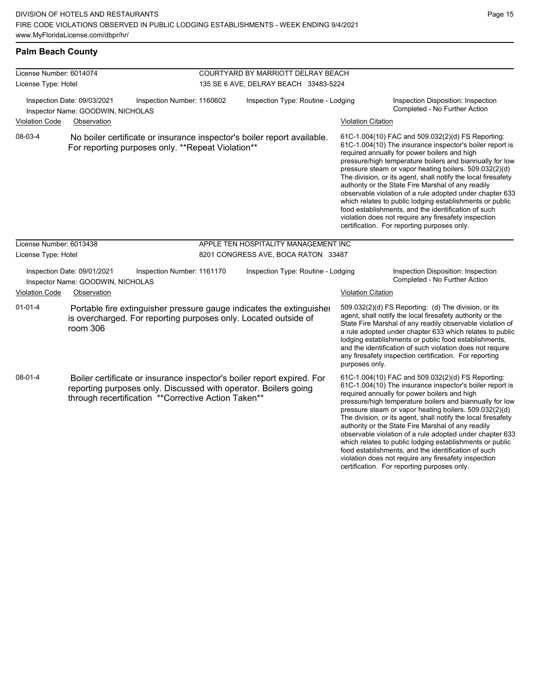**Palm Beach County**

authority or the State Fire Marshal of any readily observable violation of a rule adopted under chapter 633 which relates to public lodging establishments or public food establishments, and the identification of such violation does not require any firesafety inspection certification. For reporting purposes only.

| License Number: 6014074                                                                                  |                                                                  |                                                                                                                        | COURTYARD BY MARRIOTT DELRAY BEACH                                      |                           |                                                                                                                                                                                                                                                                                                                                                                                                                                                                                                                                                                                                                                                                                                  |  |  |
|----------------------------------------------------------------------------------------------------------|------------------------------------------------------------------|------------------------------------------------------------------------------------------------------------------------|-------------------------------------------------------------------------|---------------------------|--------------------------------------------------------------------------------------------------------------------------------------------------------------------------------------------------------------------------------------------------------------------------------------------------------------------------------------------------------------------------------------------------------------------------------------------------------------------------------------------------------------------------------------------------------------------------------------------------------------------------------------------------------------------------------------------------|--|--|
| License Type: Hotel                                                                                      |                                                                  |                                                                                                                        | 135 SE 6 AVE, DELRAY BEACH 33483-5224                                   |                           |                                                                                                                                                                                                                                                                                                                                                                                                                                                                                                                                                                                                                                                                                                  |  |  |
| Inspection Date: 09/03/2021<br>Inspector Name: GOODWIN, NICHOLAS<br><b>Violation Code</b><br>Observation |                                                                  | Inspection Number: 1160602                                                                                             | Inspection Type: Routine - Lodging                                      |                           | Inspection Disposition: Inspection<br>Completed - No Further Action                                                                                                                                                                                                                                                                                                                                                                                                                                                                                                                                                                                                                              |  |  |
|                                                                                                          |                                                                  |                                                                                                                        |                                                                         | <b>Violation Citation</b> |                                                                                                                                                                                                                                                                                                                                                                                                                                                                                                                                                                                                                                                                                                  |  |  |
| 08-03-4                                                                                                  |                                                                  | For reporting purposes only. **Repeat Violation**                                                                      | No boiler certificate or insurance inspector's boiler report available. |                           | 61C-1.004(10) FAC and 509.032(2)(d) FS Reporting:<br>61C-1.004(10) The insurance inspector's boiler report is<br>required annually for power boilers and high<br>pressure/high temperature boilers and biannually for low<br>pressure steam or vapor heating boilers. 509.032(2)(d)<br>The division, or its agent, shall notify the local firesafety<br>authority or the State Fire Marshal of any readily<br>observable violation of a rule adopted under chapter 633<br>which relates to public lodging establishments or public<br>food establishments, and the identification of such<br>violation does not require any firesafety inspection<br>certification. For reporting purposes only. |  |  |
| License Number: 6013438                                                                                  |                                                                  |                                                                                                                        | APPLE TEN HOSPITALITY MANAGEMENT INC                                    |                           |                                                                                                                                                                                                                                                                                                                                                                                                                                                                                                                                                                                                                                                                                                  |  |  |
| License Type: Hotel                                                                                      |                                                                  |                                                                                                                        | 8201 CONGRESS AVE, BOCA RATON 33487                                     |                           |                                                                                                                                                                                                                                                                                                                                                                                                                                                                                                                                                                                                                                                                                                  |  |  |
|                                                                                                          | Inspection Date: 09/01/2021<br>Inspector Name: GOODWIN, NICHOLAS | Inspection Number: 1161170                                                                                             | Inspection Type: Routine - Lodging                                      |                           | Inspection Disposition: Inspection<br>Completed - No Further Action                                                                                                                                                                                                                                                                                                                                                                                                                                                                                                                                                                                                                              |  |  |
| <b>Violation Code</b>                                                                                    | Observation                                                      |                                                                                                                        |                                                                         | <b>Violation Citation</b> |                                                                                                                                                                                                                                                                                                                                                                                                                                                                                                                                                                                                                                                                                                  |  |  |
| $01 - 01 - 4$                                                                                            | room 306                                                         | is overcharged. For reporting purposes only. Located outside of                                                        | Portable fire extinguisher pressure gauge indicates the extinguisher    | purposes only.            | 509.032(2)(d) FS Reporting: (d) The division, or its<br>agent, shall notify the local firesafety authority or the<br>State Fire Marshal of any readily observable violation of<br>a rule adopted under chapter 633 which relates to public<br>lodging establishments or public food establishments,<br>and the identification of such violation does not require<br>any firesafety inspection certification. For reporting                                                                                                                                                                                                                                                                       |  |  |
| $08 - 01 - 4$                                                                                            |                                                                  | reporting purposes only. Discussed with operator. Boilers going<br>through recertification **Corrective Action Taken** | Boiler certificate or insurance inspector's boiler report expired. For  |                           | 61C-1.004(10) FAC and 509.032(2)(d) FS Reporting:<br>61C-1.004(10) The insurance inspector's boiler report is<br>required annually for power boilers and high<br>pressure/high temperature boilers and biannually for low<br>pressure steam or vapor heating boilers. 509.032(2)(d)<br>The division, or its agent, shall notify the local firesafety                                                                                                                                                                                                                                                                                                                                             |  |  |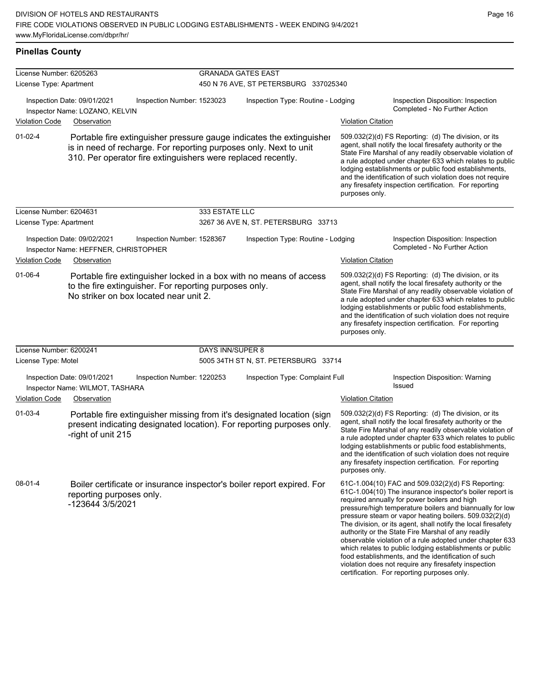#### **Pinellas County**

| License Number: 6205263                                                                                                                                                                                                    |                                                                     |                            | <b>GRANADA GATES EAST</b>             |                                                                                                                                                                                                                                                                                                                                                                                                                                              |                                                                                                                                                                                                                                                                                                                                                                                                                                              |                                                                                                                                                                                                                                                                                                                                                                                                                                                                                                                                                                                                                                                   |  |
|----------------------------------------------------------------------------------------------------------------------------------------------------------------------------------------------------------------------------|---------------------------------------------------------------------|----------------------------|---------------------------------------|----------------------------------------------------------------------------------------------------------------------------------------------------------------------------------------------------------------------------------------------------------------------------------------------------------------------------------------------------------------------------------------------------------------------------------------------|----------------------------------------------------------------------------------------------------------------------------------------------------------------------------------------------------------------------------------------------------------------------------------------------------------------------------------------------------------------------------------------------------------------------------------------------|---------------------------------------------------------------------------------------------------------------------------------------------------------------------------------------------------------------------------------------------------------------------------------------------------------------------------------------------------------------------------------------------------------------------------------------------------------------------------------------------------------------------------------------------------------------------------------------------------------------------------------------------------|--|
| License Type: Apartment                                                                                                                                                                                                    |                                                                     |                            | 450 N 76 AVE, ST PETERSBURG 337025340 |                                                                                                                                                                                                                                                                                                                                                                                                                                              |                                                                                                                                                                                                                                                                                                                                                                                                                                              |                                                                                                                                                                                                                                                                                                                                                                                                                                                                                                                                                                                                                                                   |  |
| Inspection Date: 09/01/2021<br>Inspector Name: LOZANO, KELVIN                                                                                                                                                              |                                                                     | Inspection Number: 1523023 | Inspection Type: Routine - Lodging    |                                                                                                                                                                                                                                                                                                                                                                                                                                              |                                                                                                                                                                                                                                                                                                                                                                                                                                              | Inspection Disposition: Inspection<br>Completed - No Further Action                                                                                                                                                                                                                                                                                                                                                                                                                                                                                                                                                                               |  |
| Violation Code                                                                                                                                                                                                             | Observation                                                         |                            |                                       |                                                                                                                                                                                                                                                                                                                                                                                                                                              | <b>Violation Citation</b>                                                                                                                                                                                                                                                                                                                                                                                                                    |                                                                                                                                                                                                                                                                                                                                                                                                                                                                                                                                                                                                                                                   |  |
| $01 - 02 - 4$<br>Portable fire extinguisher pressure gauge indicates the extinguisher<br>is in need of recharge. For reporting purposes only. Next to unit<br>310. Per operator fire extinguishers were replaced recently. |                                                                     |                            |                                       |                                                                                                                                                                                                                                                                                                                                                                                                                                              | 509.032(2)(d) FS Reporting: (d) The division, or its<br>agent, shall notify the local firesafety authority or the<br>State Fire Marshal of any readily observable violation of<br>a rule adopted under chapter 633 which relates to public<br>lodging establishments or public food establishments,<br>and the identification of such violation does not require<br>any firesafety inspection certification. For reporting<br>purposes only. |                                                                                                                                                                                                                                                                                                                                                                                                                                                                                                                                                                                                                                                   |  |
| License Number: 6204631                                                                                                                                                                                                    |                                                                     |                            | 333 ESTATE LLC                        |                                                                                                                                                                                                                                                                                                                                                                                                                                              |                                                                                                                                                                                                                                                                                                                                                                                                                                              |                                                                                                                                                                                                                                                                                                                                                                                                                                                                                                                                                                                                                                                   |  |
| License Type: Apartment                                                                                                                                                                                                    |                                                                     |                            |                                       | 3267 36 AVE N, ST. PETERSBURG 33713                                                                                                                                                                                                                                                                                                                                                                                                          |                                                                                                                                                                                                                                                                                                                                                                                                                                              |                                                                                                                                                                                                                                                                                                                                                                                                                                                                                                                                                                                                                                                   |  |
|                                                                                                                                                                                                                            | Inspection Date: 09/02/2021<br>Inspector Name: HEFFNER, CHRISTOPHER | Inspection Number: 1528367 |                                       | Inspection Type: Routine - Lodging                                                                                                                                                                                                                                                                                                                                                                                                           |                                                                                                                                                                                                                                                                                                                                                                                                                                              | Inspection Disposition: Inspection<br>Completed - No Further Action                                                                                                                                                                                                                                                                                                                                                                                                                                                                                                                                                                               |  |
| <b>Violation Code</b><br>Observation                                                                                                                                                                                       |                                                                     |                            |                                       |                                                                                                                                                                                                                                                                                                                                                                                                                                              | <b>Violation Citation</b>                                                                                                                                                                                                                                                                                                                                                                                                                    |                                                                                                                                                                                                                                                                                                                                                                                                                                                                                                                                                                                                                                                   |  |
| $01 - 06 - 4$<br>Portable fire extinguisher locked in a box with no means of access<br>to the fire extinguisher. For reporting purposes only.<br>No striker on box located near unit 2.                                    |                                                                     |                            |                                       | 509.032(2)(d) FS Reporting: (d) The division, or its<br>agent, shall notify the local firesafety authority or the<br>State Fire Marshal of any readily observable violation of<br>a rule adopted under chapter 633 which relates to public<br>lodging establishments or public food establishments,<br>and the identification of such violation does not require<br>any firesafety inspection certification. For reporting<br>purposes only. |                                                                                                                                                                                                                                                                                                                                                                                                                                              |                                                                                                                                                                                                                                                                                                                                                                                                                                                                                                                                                                                                                                                   |  |
| License Number: 6200241                                                                                                                                                                                                    |                                                                     |                            | DAYS INN/SUPER 8                      |                                                                                                                                                                                                                                                                                                                                                                                                                                              |                                                                                                                                                                                                                                                                                                                                                                                                                                              |                                                                                                                                                                                                                                                                                                                                                                                                                                                                                                                                                                                                                                                   |  |
| License Type: Motel                                                                                                                                                                                                        |                                                                     |                            |                                       | 5005 34TH ST N, ST. PETERSBURG 33714                                                                                                                                                                                                                                                                                                                                                                                                         |                                                                                                                                                                                                                                                                                                                                                                                                                                              |                                                                                                                                                                                                                                                                                                                                                                                                                                                                                                                                                                                                                                                   |  |
|                                                                                                                                                                                                                            | Inspection Date: 09/01/2021<br>Inspector Name: WILMOT, TASHARA      | Inspection Number: 1220253 |                                       | Inspection Type: Complaint Full                                                                                                                                                                                                                                                                                                                                                                                                              |                                                                                                                                                                                                                                                                                                                                                                                                                                              | Inspection Disposition: Warning<br>Issued                                                                                                                                                                                                                                                                                                                                                                                                                                                                                                                                                                                                         |  |
| <b>Violation Code</b>                                                                                                                                                                                                      | Observation                                                         |                            |                                       |                                                                                                                                                                                                                                                                                                                                                                                                                                              | <b>Violation Citation</b>                                                                                                                                                                                                                                                                                                                                                                                                                    |                                                                                                                                                                                                                                                                                                                                                                                                                                                                                                                                                                                                                                                   |  |
| $01-03-4$                                                                                                                                                                                                                  | -right of unit 215                                                  |                            |                                       | Portable fire extinguisher missing from it's designated location (sign<br>present indicating designated location). For reporting purposes only.                                                                                                                                                                                                                                                                                              | purposes only.                                                                                                                                                                                                                                                                                                                                                                                                                               | 509.032(2)(d) FS Reporting: (d) The division, or its<br>agent, shall notify the local firesafety authority or the<br>State Fire Marshal of any readily observable violation of<br>a rule adopted under chapter 633 which relates to public<br>lodging establishments or public food establishments,<br>and the identification of such violation does not require<br>any firesafety inspection certification. For reporting                                                                                                                                                                                                                        |  |
| $08 - 01 - 4$                                                                                                                                                                                                              | reporting purposes only.<br>-123644 3/5/2021                        |                            |                                       | Boiler certificate or insurance inspector's boiler report expired. For                                                                                                                                                                                                                                                                                                                                                                       |                                                                                                                                                                                                                                                                                                                                                                                                                                              | 61C-1.004(10) FAC and 509.032(2)(d) FS Reporting:<br>61C-1.004(10) The insurance inspector's boiler report is<br>required annually for power boilers and high<br>pressure/high temperature boilers and biannually for low<br>pressure steam or vapor heating boilers. 509.032(2)(d)<br>The division, or its agent, shall notify the local firesafety<br>authority or the State Fire Marshal of any readily<br>observable violation of a rule adopted under chapter 633<br>which relates to public lodging establishments or public<br>food establishments, and the identification of such<br>violation does not require any firesafety inspection |  |

certification. For reporting purposes only.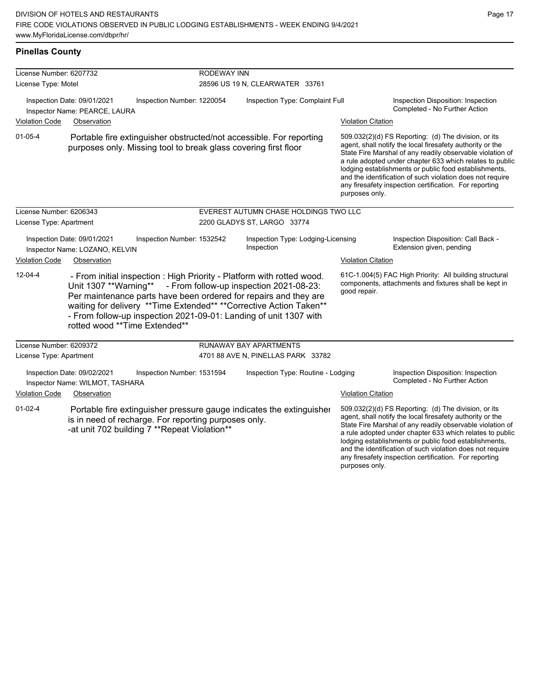| <b>Pinellas County</b>                                                                     |                                                                |                                                                                                                                        |                                 |                                                                                                                                                                                                                                                                                                                                                                                                                                              |                           |                                                                                                                                                                                                                                                                                                                                                                                                                            |
|--------------------------------------------------------------------------------------------|----------------------------------------------------------------|----------------------------------------------------------------------------------------------------------------------------------------|---------------------------------|----------------------------------------------------------------------------------------------------------------------------------------------------------------------------------------------------------------------------------------------------------------------------------------------------------------------------------------------------------------------------------------------------------------------------------------------|---------------------------|----------------------------------------------------------------------------------------------------------------------------------------------------------------------------------------------------------------------------------------------------------------------------------------------------------------------------------------------------------------------------------------------------------------------------|
| License Number: 6207732                                                                    |                                                                |                                                                                                                                        | <b>RODEWAY INN</b>              |                                                                                                                                                                                                                                                                                                                                                                                                                                              |                           |                                                                                                                                                                                                                                                                                                                                                                                                                            |
| License Type: Motel                                                                        |                                                                |                                                                                                                                        |                                 | 28596 US 19 N, CLEARWATER 33761                                                                                                                                                                                                                                                                                                                                                                                                              |                           |                                                                                                                                                                                                                                                                                                                                                                                                                            |
| Inspection Date: 09/01/2021<br>Inspection Number: 1220054<br>Inspector Name: PEARCE, LAURA |                                                                |                                                                                                                                        | Inspection Type: Complaint Full | Inspection Disposition: Inspection<br>Completed - No Further Action                                                                                                                                                                                                                                                                                                                                                                          |                           |                                                                                                                                                                                                                                                                                                                                                                                                                            |
| <b>Violation Code</b>                                                                      | Observation                                                    |                                                                                                                                        |                                 |                                                                                                                                                                                                                                                                                                                                                                                                                                              | <b>Violation Citation</b> |                                                                                                                                                                                                                                                                                                                                                                                                                            |
| $01 - 05 - 4$                                                                              |                                                                | Portable fire extinguisher obstructed/not accessible. For reporting<br>purposes only. Missing tool to break glass covering first floor |                                 | 509.032(2)(d) FS Reporting: (d) The division, or its<br>agent, shall notify the local firesafety authority or the<br>State Fire Marshal of any readily observable violation of<br>a rule adopted under chapter 633 which relates to public<br>lodging establishments or public food establishments,<br>and the identification of such violation does not require<br>any firesafety inspection certification. For reporting<br>purposes only. |                           |                                                                                                                                                                                                                                                                                                                                                                                                                            |
| License Number: 6206343                                                                    |                                                                |                                                                                                                                        |                                 | EVEREST AUTUMN CHASE HOLDINGS TWO LLC                                                                                                                                                                                                                                                                                                                                                                                                        |                           |                                                                                                                                                                                                                                                                                                                                                                                                                            |
| License Type: Apartment                                                                    |                                                                |                                                                                                                                        |                                 | 2200 GLADYS ST, LARGO 33774                                                                                                                                                                                                                                                                                                                                                                                                                  |                           |                                                                                                                                                                                                                                                                                                                                                                                                                            |
|                                                                                            | Inspection Date: 09/01/2021<br>Inspector Name: LOZANO, KELVIN  | Inspection Number: 1532542                                                                                                             |                                 | Inspection Type: Lodging-Licensing<br>Inspection                                                                                                                                                                                                                                                                                                                                                                                             |                           | Inspection Disposition: Call Back -<br>Extension given, pending                                                                                                                                                                                                                                                                                                                                                            |
| <b>Violation Code</b>                                                                      | Observation                                                    |                                                                                                                                        |                                 |                                                                                                                                                                                                                                                                                                                                                                                                                                              | <b>Violation Citation</b> |                                                                                                                                                                                                                                                                                                                                                                                                                            |
| $12 - 04 - 4$                                                                              | rotted wood **Time Extended**                                  |                                                                                                                                        |                                 | - From initial inspection: High Priority - Platform with rotted wood.<br>Unit 1307 ** Warning** - From follow-up inspection 2021-08-23:<br>Per maintenance parts have been ordered for repairs and they are<br>waiting for delivery ** Time Extended** ** Corrective Action Taken**<br>- From follow-up inspection 2021-09-01: Landing of unit 1307 with                                                                                     | good repair.              | 61C-1.004(5) FAC High Priority: All building structural<br>components, attachments and fixtures shall be kept in                                                                                                                                                                                                                                                                                                           |
| License Number: 6209372                                                                    |                                                                |                                                                                                                                        |                                 | <b>RUNAWAY BAY APARTMENTS</b>                                                                                                                                                                                                                                                                                                                                                                                                                |                           |                                                                                                                                                                                                                                                                                                                                                                                                                            |
| License Type: Apartment                                                                    |                                                                |                                                                                                                                        |                                 | 4701 88 AVE N, PINELLAS PARK 33782                                                                                                                                                                                                                                                                                                                                                                                                           |                           |                                                                                                                                                                                                                                                                                                                                                                                                                            |
|                                                                                            | Inspection Date: 09/02/2021<br>Inspector Name: WILMOT, TASHARA | Inspection Number: 1531594                                                                                                             |                                 | Inspection Type: Routine - Lodging                                                                                                                                                                                                                                                                                                                                                                                                           |                           | Inspection Disposition: Inspection<br>Completed - No Further Action                                                                                                                                                                                                                                                                                                                                                        |
| <b>Violation Code</b>                                                                      | Observation                                                    |                                                                                                                                        |                                 |                                                                                                                                                                                                                                                                                                                                                                                                                                              | <b>Violation Citation</b> |                                                                                                                                                                                                                                                                                                                                                                                                                            |
| $01 - 02 - 4$                                                                              |                                                                | is in need of recharge. For reporting purposes only.<br>-at unit 702 building 7 ** Repeat Violation**                                  |                                 | Portable fire extinguisher pressure gauge indicates the extinguisher                                                                                                                                                                                                                                                                                                                                                                         |                           | 509.032(2)(d) FS Reporting: (d) The division, or its<br>agent, shall notify the local firesafety authority or the<br>State Fire Marshal of any readily observable violation of<br>a rule adopted under chapter 633 which relates to public<br>lodging establishments or public food establishments,<br>and the identification of such violation does not require<br>any firesafety inspection certification. For reporting |

purposes only.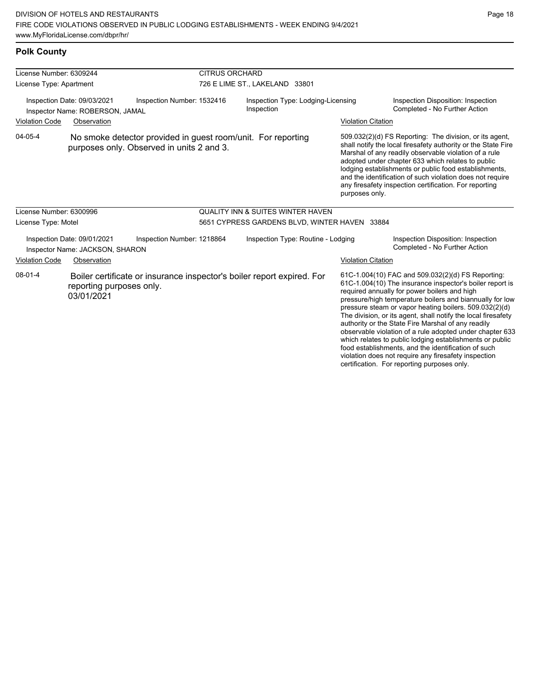**Polk County**

violation does not require any firesafety inspection certification. For reporting purposes only.

| License Number: 6309244                                        |                                                                | <b>CITRUS ORCHARD</b>                                                                                     |                                                  |                           |                                                                                                                                                                                                                                                                                                                                                                                                                                                                                                                                                                                           |  |
|----------------------------------------------------------------|----------------------------------------------------------------|-----------------------------------------------------------------------------------------------------------|--------------------------------------------------|---------------------------|-------------------------------------------------------------------------------------------------------------------------------------------------------------------------------------------------------------------------------------------------------------------------------------------------------------------------------------------------------------------------------------------------------------------------------------------------------------------------------------------------------------------------------------------------------------------------------------------|--|
| License Type: Apartment                                        |                                                                |                                                                                                           | 726 E LIME ST., LAKELAND 33801                   |                           |                                                                                                                                                                                                                                                                                                                                                                                                                                                                                                                                                                                           |  |
| Inspection Date: 09/03/2021<br>Inspector Name: ROBERSON, JAMAL |                                                                | Inspection Number: 1532416                                                                                | Inspection Type: Lodging-Licensing<br>Inspection |                           | Inspection Disposition: Inspection<br>Completed - No Further Action                                                                                                                                                                                                                                                                                                                                                                                                                                                                                                                       |  |
| <b>Violation Code</b><br>Observation                           |                                                                |                                                                                                           |                                                  | <b>Violation Citation</b> |                                                                                                                                                                                                                                                                                                                                                                                                                                                                                                                                                                                           |  |
| 04-05-4                                                        |                                                                | No smoke detector provided in guest room/unit. For reporting<br>purposes only. Observed in units 2 and 3. |                                                  | purposes only.            | 509.032(2)(d) FS Reporting: The division, or its agent,<br>shall notify the local firesafety authority or the State Fire<br>Marshal of any readily observable violation of a rule<br>adopted under chapter 633 which relates to public<br>lodging establishments or public food establishments,<br>and the identification of such violation does not require<br>any firesafety inspection certification. For reporting                                                                                                                                                                    |  |
| License Number: 6300996                                        |                                                                |                                                                                                           | <b>QUALITY INN &amp; SUITES WINTER HAVEN</b>     |                           |                                                                                                                                                                                                                                                                                                                                                                                                                                                                                                                                                                                           |  |
| License Type: Motel                                            |                                                                |                                                                                                           | 5651 CYPRESS GARDENS BLVD, WINTER HAVEN 33884    |                           |                                                                                                                                                                                                                                                                                                                                                                                                                                                                                                                                                                                           |  |
|                                                                | Inspection Date: 09/01/2021<br>Inspector Name: JACKSON, SHARON | Inspection Number: 1218864                                                                                | Inspection Type: Routine - Lodging               |                           | Inspection Disposition: Inspection<br>Completed - No Further Action                                                                                                                                                                                                                                                                                                                                                                                                                                                                                                                       |  |
| <b>Violation Code</b>                                          | Observation                                                    |                                                                                                           |                                                  | <b>Violation Citation</b> |                                                                                                                                                                                                                                                                                                                                                                                                                                                                                                                                                                                           |  |
| $08-01-4$                                                      | reporting purposes only.<br>03/01/2021                         | Boiler certificate or insurance inspector's boiler report expired. For                                    |                                                  |                           | 61C-1.004(10) FAC and 509.032(2)(d) FS Reporting:<br>61C-1.004(10) The insurance inspector's boiler report is<br>required annually for power boilers and high<br>pressure/high temperature boilers and biannually for low<br>pressure steam or vapor heating boilers. 509.032(2)(d)<br>The division, or its agent, shall notify the local firesafety<br>authority or the State Fire Marshal of any readily<br>observable violation of a rule adopted under chapter 633<br>which relates to public lodging establishments or public<br>food establishments, and the identification of such |  |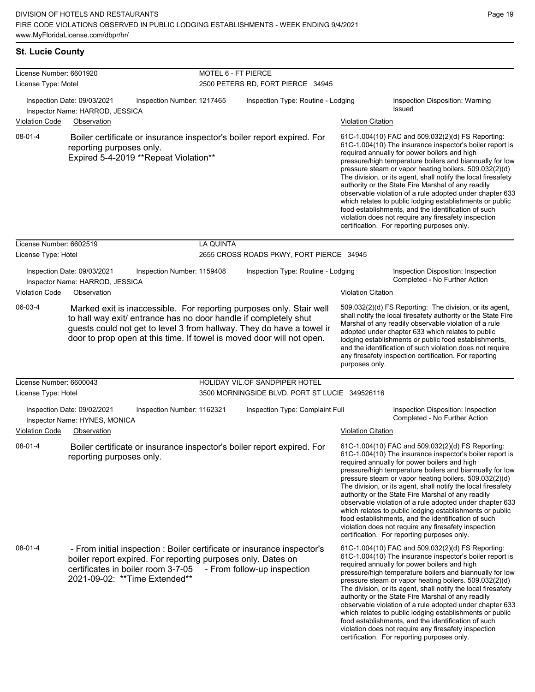| License Number: 6601920 |                                                                                                                                                                                                                                                                                            | MOTEL 6 - FT PIERCE                                                                                                                                                                                                         |                                                |                                                                                                                                                                                                                                                                                                                                                                                                                                                                                                                                             |                                                                                                                                                                                                                                                                                                                                                                                                                                                                                                                                                                                                                                                                                                  |
|-------------------------|--------------------------------------------------------------------------------------------------------------------------------------------------------------------------------------------------------------------------------------------------------------------------------------------|-----------------------------------------------------------------------------------------------------------------------------------------------------------------------------------------------------------------------------|------------------------------------------------|---------------------------------------------------------------------------------------------------------------------------------------------------------------------------------------------------------------------------------------------------------------------------------------------------------------------------------------------------------------------------------------------------------------------------------------------------------------------------------------------------------------------------------------------|--------------------------------------------------------------------------------------------------------------------------------------------------------------------------------------------------------------------------------------------------------------------------------------------------------------------------------------------------------------------------------------------------------------------------------------------------------------------------------------------------------------------------------------------------------------------------------------------------------------------------------------------------------------------------------------------------|
| License Type: Motel     |                                                                                                                                                                                                                                                                                            |                                                                                                                                                                                                                             | 2500 PETERS RD, FORT PIERCE 34945              |                                                                                                                                                                                                                                                                                                                                                                                                                                                                                                                                             |                                                                                                                                                                                                                                                                                                                                                                                                                                                                                                                                                                                                                                                                                                  |
|                         | Inspection Date: 09/03/2021<br>Inspection Number: 1217465<br>Inspector Name: HARROD, JESSICA                                                                                                                                                                                               |                                                                                                                                                                                                                             | Inspection Type: Routine - Lodging             |                                                                                                                                                                                                                                                                                                                                                                                                                                                                                                                                             | Inspection Disposition: Warning<br>Issued                                                                                                                                                                                                                                                                                                                                                                                                                                                                                                                                                                                                                                                        |
| <b>Violation Code</b>   | Observation                                                                                                                                                                                                                                                                                |                                                                                                                                                                                                                             |                                                | <b>Violation Citation</b>                                                                                                                                                                                                                                                                                                                                                                                                                                                                                                                   |                                                                                                                                                                                                                                                                                                                                                                                                                                                                                                                                                                                                                                                                                                  |
| 08-01-4                 | reporting purposes only.<br>Expired 5-4-2019 ** Repeat Violation**                                                                                                                                                                                                                         | Boiler certificate or insurance inspector's boiler report expired. For<br>required annually for power boilers and high<br>authority or the State Fire Marshal of any readily<br>certification. For reporting purposes only. |                                                | 61C-1.004(10) FAC and 509.032(2)(d) FS Reporting:<br>61C-1.004(10) The insurance inspector's boiler report is<br>pressure/high temperature boilers and biannually for low<br>pressure steam or vapor heating boilers. 509.032(2)(d)<br>The division, or its agent, shall notify the local firesafety<br>observable violation of a rule adopted under chapter 633<br>which relates to public lodging establishments or public<br>food establishments, and the identification of such<br>violation does not require any firesafety inspection |                                                                                                                                                                                                                                                                                                                                                                                                                                                                                                                                                                                                                                                                                                  |
| License Number: 6602519 |                                                                                                                                                                                                                                                                                            | <b>LA QUINTA</b>                                                                                                                                                                                                            |                                                |                                                                                                                                                                                                                                                                                                                                                                                                                                                                                                                                             |                                                                                                                                                                                                                                                                                                                                                                                                                                                                                                                                                                                                                                                                                                  |
| License Type: Hotel     |                                                                                                                                                                                                                                                                                            |                                                                                                                                                                                                                             | 2655 CROSS ROADS PKWY, FORT PIERCE 34945       |                                                                                                                                                                                                                                                                                                                                                                                                                                                                                                                                             |                                                                                                                                                                                                                                                                                                                                                                                                                                                                                                                                                                                                                                                                                                  |
|                         | Inspection Date: 09/03/2021<br>Inspection Number: 1159408<br>Inspector Name: HARROD, JESSICA                                                                                                                                                                                               |                                                                                                                                                                                                                             | Inspection Type: Routine - Lodging             |                                                                                                                                                                                                                                                                                                                                                                                                                                                                                                                                             | Inspection Disposition: Inspection<br>Completed - No Further Action                                                                                                                                                                                                                                                                                                                                                                                                                                                                                                                                                                                                                              |
| <b>Violation Code</b>   | Observation                                                                                                                                                                                                                                                                                |                                                                                                                                                                                                                             |                                                | <b>Violation Citation</b>                                                                                                                                                                                                                                                                                                                                                                                                                                                                                                                   |                                                                                                                                                                                                                                                                                                                                                                                                                                                                                                                                                                                                                                                                                                  |
| 06-03-4                 | Marked exit is inaccessible. For reporting purposes only. Stair well<br>to hall way exit/ entrance has no door handle if completely shut<br>guests could not get to level 3 from hallway. They do have a towel ir<br>door to prop open at this time. If towel is moved door will not open. |                                                                                                                                                                                                                             |                                                | purposes only.                                                                                                                                                                                                                                                                                                                                                                                                                                                                                                                              | 509.032(2)(d) FS Reporting: The division, or its agent,<br>shall notify the local firesafety authority or the State Fire<br>Marshal of any readily observable violation of a rule<br>adopted under chapter 633 which relates to public<br>lodging establishments or public food establishments,<br>and the identification of such violation does not require<br>any firesafety inspection certification. For reporting                                                                                                                                                                                                                                                                           |
| License Number: 6600043 |                                                                                                                                                                                                                                                                                            |                                                                                                                                                                                                                             | HOLIDAY VIL.OF SANDPIPER HOTEL                 |                                                                                                                                                                                                                                                                                                                                                                                                                                                                                                                                             |                                                                                                                                                                                                                                                                                                                                                                                                                                                                                                                                                                                                                                                                                                  |
| License Type: Hotel     |                                                                                                                                                                                                                                                                                            |                                                                                                                                                                                                                             | 3500 MORNINGSIDE BLVD, PORT ST LUCIE 349526116 |                                                                                                                                                                                                                                                                                                                                                                                                                                                                                                                                             |                                                                                                                                                                                                                                                                                                                                                                                                                                                                                                                                                                                                                                                                                                  |
|                         | Inspection Number: 1162321<br>Inspection Date: 09/02/2021<br>Inspector Name: HYNES, MONICA                                                                                                                                                                                                 |                                                                                                                                                                                                                             | Inspection Type: Complaint Full                |                                                                                                                                                                                                                                                                                                                                                                                                                                                                                                                                             | Inspection Disposition: Inspection<br>Completed - No Further Action                                                                                                                                                                                                                                                                                                                                                                                                                                                                                                                                                                                                                              |
| <b>Violation Code</b>   | Observation                                                                                                                                                                                                                                                                                |                                                                                                                                                                                                                             |                                                | <b>Violation Citation</b>                                                                                                                                                                                                                                                                                                                                                                                                                                                                                                                   |                                                                                                                                                                                                                                                                                                                                                                                                                                                                                                                                                                                                                                                                                                  |
| 08-01-4                 | Boiler certificate or insurance inspector's boiler report expired. For<br>reporting purposes only.                                                                                                                                                                                         |                                                                                                                                                                                                                             |                                                |                                                                                                                                                                                                                                                                                                                                                                                                                                                                                                                                             | 61C-1.004(10) FAC and 509.032(2)(d) FS Reporting:<br>61C-1.004(10) The insurance inspector's boiler report is<br>required annually for power boilers and high<br>pressure/high temperature boilers and biannually for low<br>pressure steam or vapor heating boilers. 509.032(2)(d)<br>The division, or its agent, shall notify the local firesafety<br>authority or the State Fire Marshal of any readily<br>observable violation of a rule adopted under chapter 633<br>which relates to public lodging establishments or public<br>food establishments, and the identification of such<br>violation does not require any firesafety inspection<br>certification. For reporting purposes only. |
| $08 - 01 - 4$           | - From initial inspection : Boiler certificate or insurance inspector's<br>boiler report expired. For reporting purposes only. Dates on<br>certificates in boiler room 3-7-05<br>2021-09-02: ** Time Extended**                                                                            |                                                                                                                                                                                                                             | - From follow-up inspection                    |                                                                                                                                                                                                                                                                                                                                                                                                                                                                                                                                             | 61C-1.004(10) FAC and 509.032(2)(d) FS Reporting:<br>61C-1.004(10) The insurance inspector's boiler report is<br>required annually for power boilers and high<br>pressure/high temperature boilers and biannually for low<br>pressure steam or vapor heating boilers. 509.032(2)(d)<br>The division, or its agent, shall notify the local firesafety<br>authority or the State Fire Marshal of any readily<br>observable violation of a rule adopted under chapter 633<br>which relates to public lodging establishments or public<br>food establishments, and the identification of such<br>violation does not require any firesafety inspection<br>certification. For reporting purposes only. |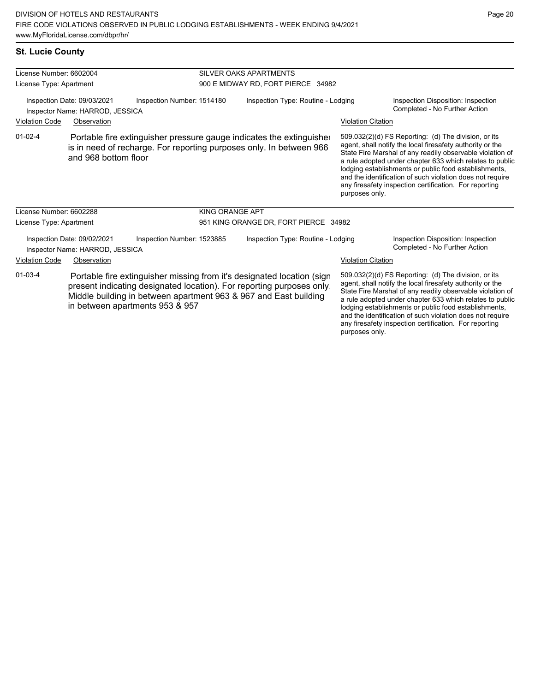any firesafety inspection certification. For reporting

purposes only.

|  |  | <b>St. Lucie County</b> |
|--|--|-------------------------|
|--|--|-------------------------|

| License Number: 6602004                                                                                                                                                                                                                                                 |                                                                |                                                                                                                                             | SILVER OAKS APARTMENTS                |                           |                                                                                                                                                                                                                                                                                                                                                                                                                            |  |
|-------------------------------------------------------------------------------------------------------------------------------------------------------------------------------------------------------------------------------------------------------------------------|----------------------------------------------------------------|---------------------------------------------------------------------------------------------------------------------------------------------|---------------------------------------|---------------------------|----------------------------------------------------------------------------------------------------------------------------------------------------------------------------------------------------------------------------------------------------------------------------------------------------------------------------------------------------------------------------------------------------------------------------|--|
| License Type: Apartment                                                                                                                                                                                                                                                 |                                                                |                                                                                                                                             | 900 E MIDWAY RD, FORT PIERCE 34982    |                           |                                                                                                                                                                                                                                                                                                                                                                                                                            |  |
|                                                                                                                                                                                                                                                                         | Inspection Date: 09/03/2021<br>Inspector Name: HARROD, JESSICA | Inspection Number: 1514180                                                                                                                  | Inspection Type: Routine - Lodging    |                           | Inspection Disposition: Inspection<br>Completed - No Further Action                                                                                                                                                                                                                                                                                                                                                        |  |
| <b>Violation Code</b>                                                                                                                                                                                                                                                   | Observation                                                    |                                                                                                                                             |                                       | <b>Violation Citation</b> |                                                                                                                                                                                                                                                                                                                                                                                                                            |  |
| $01 - 02 - 4$                                                                                                                                                                                                                                                           | and 968 bottom floor                                           | Portable fire extinguisher pressure gauge indicates the extinguisher<br>is in need of recharge. For reporting purposes only. In between 966 |                                       | purposes only.            | 509.032(2)(d) FS Reporting: (d) The division, or its<br>agent, shall notify the local firesafety authority or the<br>State Fire Marshal of any readily observable violation of<br>a rule adopted under chapter 633 which relates to public<br>lodging establishments or public food establishments,<br>and the identification of such violation does not require<br>any firesafety inspection certification. For reporting |  |
| License Number: 6602288                                                                                                                                                                                                                                                 |                                                                | <b>KING ORANGE APT</b>                                                                                                                      |                                       |                           |                                                                                                                                                                                                                                                                                                                                                                                                                            |  |
| License Type: Apartment                                                                                                                                                                                                                                                 |                                                                |                                                                                                                                             | 951 KING ORANGE DR, FORT PIERCE 34982 |                           |                                                                                                                                                                                                                                                                                                                                                                                                                            |  |
|                                                                                                                                                                                                                                                                         | Inspection Date: 09/02/2021<br>Inspector Name: HARROD, JESSICA | Inspection Number: 1523885                                                                                                                  | Inspection Type: Routine - Lodging    |                           | Inspection Disposition: Inspection<br>Completed - No Further Action                                                                                                                                                                                                                                                                                                                                                        |  |
| <b>Violation Code</b>                                                                                                                                                                                                                                                   | Observation                                                    |                                                                                                                                             |                                       | <b>Violation Citation</b> |                                                                                                                                                                                                                                                                                                                                                                                                                            |  |
| $01 - 03 - 4$<br>Portable fire extinguisher missing from it's designated location (sign<br>present indicating designated location). For reporting purposes only.<br>Middle building in between apartment 963 & 967 and East building<br>in between apartments 953 & 957 |                                                                |                                                                                                                                             |                                       |                           | 509.032(2)(d) FS Reporting: (d) The division, or its<br>agent, shall notify the local firesafety authority or the<br>State Fire Marshal of any readily observable violation of<br>a rule adopted under chapter 633 which relates to public<br>lodging establishments or public food establishments,<br>and the identification of such violation does not require                                                           |  |